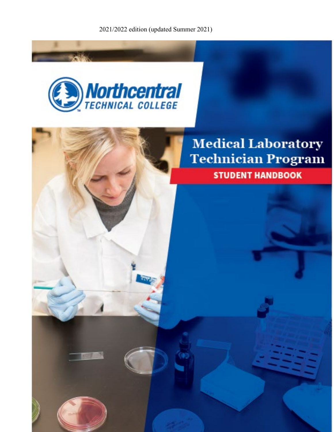2021/2022 edition (updated Summer 2021)

**STUDENT HANDBOOK** 



# **Medical Laboratory Technician Program**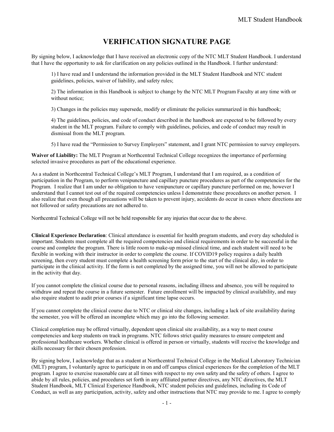# **VERIFICATION SIGNATURE PAGE**

<span id="page-1-0"></span>By signing below, I acknowledge that I have received an electronic copy of the NTC MLT Student Handbook. I understand that I have the opportunity to ask for clarification on any policies outlined in the Handbook. I further understand:

1) I have read and I understand the information provided in the MLT Student Handbook and NTC student guidelines, policies, waiver of liability, and safety rules;

2) The information in this Handbook is subject to change by the NTC MLT Program Faculty at any time with or without notice;

3) Changes in the policies may supersede, modify or eliminate the policies summarized in this handbook;

4) The guidelines, policies, and code of conduct described in the handbook are expected to be followed by every student in the MLT program. Failure to comply with guidelines, policies, and code of conduct may result in dismissal from the MLT program.

5) I have read the "Permission to Survey Employers" statement, and I grant NTC permission to survey employers.

**Waiver of Liability:** The MLT Program at Northcentral Technical College recognizes the importance of performing selected invasive procedures as part of the educational experience.

As a student in Northcentral Technical College's MLT Program, I understand that I am required, as a condition of participation in the Program, to perform venipuncture and capillary puncture procedures as part of the competencies for the Program. I realize that I am under no obligation to have venipuncture or capillary puncture performed on me, however I understand that I cannot test out of the required competencies unless I demonstrate these procedures on another person. I also realize that even though all precautions will be taken to prevent injury, accidents do occur in cases where directions are not followed or safety precautions are not adhered to.

Northcentral Technical College will not be held responsible for any injuries that occur due to the above.

**Clinical Experience Declaration**: Clinical attendance is essential for health program students, and every day scheduled is important. Students must complete all the required competencies and clinical requirements in order to be successful in the course and complete the program. There is little room to make-up missed clinical time, and each student will need to be flexible in working with their instructor in order to complete the course. If COVID19 policy requires a daily health screening, then every student must complete a health screening form prior to the start of the clinical day, in order to participate in the clinical activity. If the form is not completed by the assigned time, you will not be allowed to participate in the activity that day.

If you cannot complete the clinical course due to personal reasons, including illness and absence, you will be required to withdraw and repeat the course in a future semester. Future enrollment will be impacted by clinical availability, and may also require student to audit prior courses if a significant time lapse occurs.

If you cannot complete the clinical course due to NTC or clinical site changes, including a lack of site availability during the semester, you will be offered an incomplete which may go into the following semester.

Clinical completion may be offered virtually, dependent upon clinical site availability, as a way to meet course competencies and keep students on track in programs. NTC follows strict quality measures to ensure competent and professional healthcare workers. Whether clinical is offered in person or virtually, students will receive the knowledge and skills necessary for their chosen profession.

By signing below, I acknowledge that as a student at Northcentral Technical College in the Medical Laboratory Technician (MLT) program, I voluntarily agree to participate in on and off campus clinical experiences for the completion of the MLT program. I agree to exercise reasonable care at all times with respect to my own safety and the safety of others. I agree to abide by all rules, policies, and procedures set forth in any affiliated partner directives, any NTC directives, the MLT Student Handbook, MLT Clinical Experience Handbook, NTC student policies and guidelines, including its Code of Conduct, as well as any participation, activity, safety and other instructions that NTC may provide to me. I agree to comply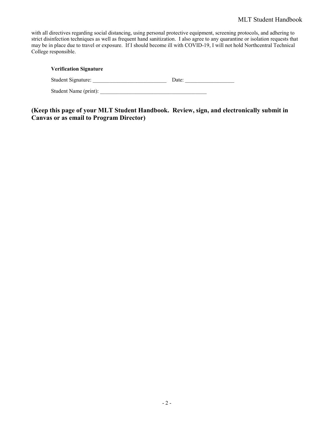#### MLT Student Handbook

with all directives regarding social distancing, using personal protective equipment, screening protocols, and adhering to strict disinfection techniques as well as frequent hand sanitization. I also agree to any quarantine or isolation requests that may be in place due to travel or exposure. If I should become ill with COVID-19, I will not hold Northcentral Technical College responsible.

| <b>Verification Signature</b> |       |
|-------------------------------|-------|
| Student Signature:            | Date: |
| Student Name (print):         |       |

**(Keep this page of your MLT Student Handbook. Review, sign, and electronically submit in Canvas or as email to Program Director)**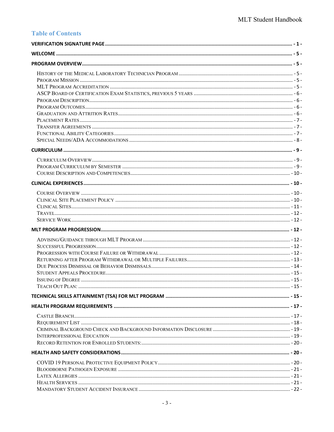# **Table of Contents**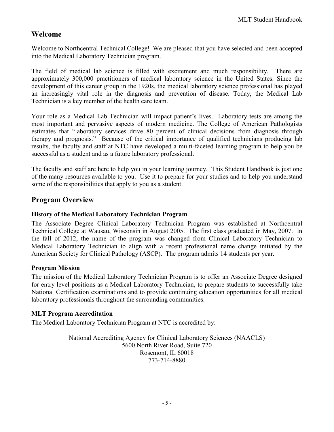# <span id="page-5-0"></span>**Welcome**

Welcome to Northcentral Technical College! We are pleased that you have selected and been accepted into the Medical Laboratory Technician program.

The field of medical lab science is filled with excitement and much responsibility. There are approximately 300,000 practitioners of medical laboratory science in the United States. Since the development of this career group in the 1920s, the medical laboratory science professional has played an increasingly vital role in the diagnosis and prevention of disease. Today, the Medical Lab Technician is a key member of the health care team.

Your role as a Medical Lab Technician will impact patient's lives. Laboratory tests are among the most important and pervasive aspects of modern medicine. The College of American Pathologists estimates that "laboratory services drive 80 percent of clinical decisions from diagnosis through therapy and prognosis." Because of the critical importance of qualified technicians producing lab results, the faculty and staff at NTC have developed a multi-faceted learning program to help you be successful as a student and as a future laboratory professional.

The faculty and staff are here to help you in your learning journey. This Student Handbook is just one of the many resources available to you. Use it to prepare for your studies and to help you understand some of the responsibilities that apply to you as a student.

# <span id="page-5-1"></span>**Program Overview**

### <span id="page-5-2"></span>**History of the Medical Laboratory Technician Program**

The Associate Degree Clinical Laboratory Technician Program was established at Northcentral Technical College at Wausau, Wisconsin in August 2005. The first class graduated in May, 2007. In the fall of 2012, the name of the program was changed from Clinical Laboratory Technician to Medical Laboratory Technician to align with a recent professional name change initiated by the American Society for Clinical Pathology (ASCP). The program admits 14 students per year.

# <span id="page-5-3"></span>**Program Mission**

The mission of the Medical Laboratory Technician Program is to offer an Associate Degree designed for entry level positions as a Medical Laboratory Technician, to prepare students to successfully take National Certification examinations and to provide continuing education opportunities for all medical laboratory professionals throughout the surrounding communities.

# <span id="page-5-4"></span>**MLT Program Accreditation**

The Medical Laboratory Technician Program at NTC is accredited by:

National Accrediting Agency for Clinical Laboratory Sciences (NAACLS) 5600 North River Road, Suite 720 Rosemont, IL 60018 773-714-8880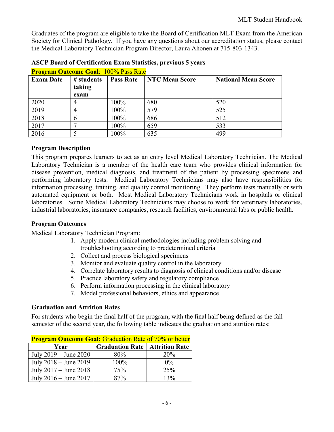Graduates of the program are eligible to take the Board of Certification MLT Exam from the American Society for Clinical Pathology. If you have any questions about our accreditation status, please contact the Medical Laboratory Technician Program Director, Laura Ahonen at 715-803-1343.

| <b>Program Outcome Goal: 100% Pass Rate</b> |               |                  |                                                     |     |  |  |  |
|---------------------------------------------|---------------|------------------|-----------------------------------------------------|-----|--|--|--|
| <b>Exam Date</b>                            | # students    | <b>Pass Rate</b> | <b>NTC Mean Score</b><br><b>National Mean Score</b> |     |  |  |  |
|                                             | taking        |                  |                                                     |     |  |  |  |
|                                             | exam          |                  |                                                     |     |  |  |  |
| 2020                                        | 4             | 100%             | 680                                                 | 520 |  |  |  |
| 2019                                        | 4             | 100%             | 579                                                 | 525 |  |  |  |
| 2018                                        | $\mathfrak b$ | 100%             | 686                                                 | 512 |  |  |  |
| 2017                                        |               | 100%             | 659                                                 | 533 |  |  |  |
| 2016                                        |               | 100%             | 635                                                 | 499 |  |  |  |

### <span id="page-6-0"></span>**ASCP Board of Certification Exam Statistics, previous 5 years**

# <span id="page-6-1"></span>**Program Description**

This program prepares learners to act as an entry level Medical Laboratory Technician. The Medical Laboratory Technician is a member of the health care team who provides clinical information for disease prevention, medical diagnosis, and treatment of the patient by processing specimens and performing laboratory tests. Medical Laboratory Technicians may also have responsibilities for information processing, training, and quality control monitoring. They perform tests manually or with automated equipment or both. Most Medical Laboratory Technicians work in hospitals or clinical laboratories. Some Medical Laboratory Technicians may choose to work for veterinary laboratories, industrial laboratories, insurance companies, research facilities, environmental labs or public health.

#### <span id="page-6-2"></span>**Program Outcomes**

Medical Laboratory Technician Program:

- 1. Apply modern clinical methodologies including problem solving and troubleshooting according to predetermined criteria
- 2. Collect and process biological specimens
- 3. Monitor and evaluate quality control in the laboratory
- 4. Correlate laboratory results to diagnosis of clinical conditions and/or disease
- 5. Practice laboratory safety and regulatory compliance
- 6. Perform information processing in the clinical laboratory
- 7. Model professional behaviors, ethics and appearance

#### <span id="page-6-3"></span>**Graduation and Attrition Rates**

For students who begin the final half of the program, with the final half being defined as the fall semester of the second year, the following table indicates the graduation and attrition rates:

| <b>Program Outcome Goal: Graduation Rate of 70% or better</b> |                                         |       |  |  |
|---------------------------------------------------------------|-----------------------------------------|-------|--|--|
| Year                                                          | <b>Graduation Rate   Attrition Rate</b> |       |  |  |
| July $2019 -$ June $2020$                                     | 80%                                     | 20%   |  |  |
| July $2018 -$ June $2019$                                     | 100%                                    | $0\%$ |  |  |
| July $2017 -$ June $2018$                                     | 75%                                     | 25%   |  |  |
| July 2016 – June 2017                                         | 87%                                     | 13%   |  |  |

| <b>Program Outcome Goal: Graduation Rate of 70% or better</b> |  |                                                                                                                                                             |  |  |  |
|---------------------------------------------------------------|--|-------------------------------------------------------------------------------------------------------------------------------------------------------------|--|--|--|
|                                                               |  | $\mathbf{a}$ $\mathbf{a}$ $\mathbf{b}$ $\mathbf{a}$ $\mathbf{b}$ $\mathbf{a}$ $\mathbf{b}$ $\mathbf{a}$ $\mathbf{b}$ $\mathbf{c}$ $\mathbf{b}$ $\mathbf{a}$ |  |  |  |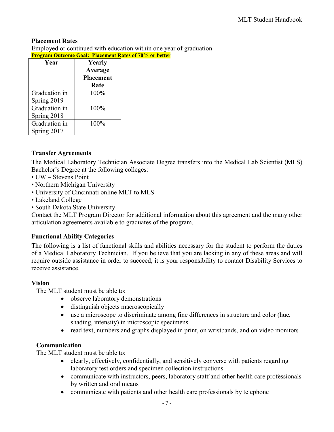# <span id="page-7-0"></span>**Placement Rates**

Employed or continued with education within one year of graduation **Program Outcome Goal: Placement Rates of 70% or better**

| Year          | Yearly           |
|---------------|------------------|
|               | <b>Average</b>   |
|               | <b>Placement</b> |
|               | Rate             |
| Graduation in | 100%             |
| Spring 2019   |                  |
| Graduation in | 100%             |
| Spring 2018   |                  |
| Graduation in | 100%             |
| Spring 2017   |                  |

# <span id="page-7-1"></span>**Transfer Agreements**

The Medical Laboratory Technician Associate Degree transfers into the Medical Lab Scientist (MLS) Bachelor's Degree at the following colleges:

- UW Stevens Point
- Northern Michigan University
- University of Cincinnati online MLT to MLS
- Lakeland College
- South Dakota State University

Contact the MLT Program Director for additional information about this agreement and the many other articulation agreements available to graduates of the program.

# <span id="page-7-2"></span>**Functional Ability Categories**

The following is a list of functional skills and abilities necessary for the student to perform the duties of a Medical Laboratory Technician. If you believe that you are lacking in any of these areas and will require outside assistance in order to succeed, it is your responsibility to contact Disability Services to receive assistance.

# **Vision**

The MLT student must be able to:

- observe laboratory demonstrations
- distinguish objects macroscopically
- use a microscope to discriminate among fine differences in structure and color (hue, shading, intensity) in microscopic specimens
- read text, numbers and graphs displayed in print, on wristbands, and on video monitors

# **Communication**

The MLT student must be able to:

- clearly, effectively, confidentially, and sensitively converse with patients regarding laboratory test orders and specimen collection instructions
- communicate with instructors, peers, laboratory staff and other health care professionals by written and oral means
- communicate with patients and other health care professionals by telephone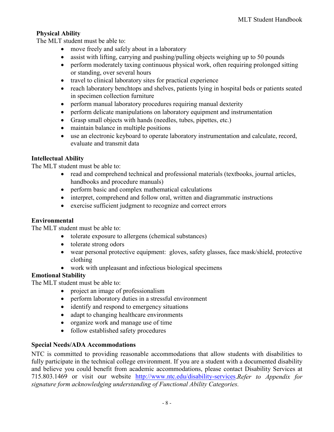# **Physical Ability**

The MLT student must be able to:

- move freely and safely about in a laboratory
- assist with lifting, carrying and pushing/pulling objects weighing up to 50 pounds
- perform moderately taxing continuous physical work, often requiring prolonged sitting or standing, over several hours
- travel to clinical laboratory sites for practical experience
- reach laboratory benchtops and shelves, patients lying in hospital beds or patients seated in specimen collection furniture
- perform manual laboratory procedures requiring manual dexterity
- perform delicate manipulations on laboratory equipment and instrumentation
- Grasp small objects with hands (needles, tubes, pipettes, etc.)
- maintain balance in multiple positions
- use an electronic keyboard to operate laboratory instrumentation and calculate, record, evaluate and transmit data

# **Intellectual Ability**

The MLT student must be able to:

- read and comprehend technical and professional materials (textbooks, journal articles, handbooks and procedure manuals)
- perform basic and complex mathematical calculations
- interpret, comprehend and follow oral, written and diagrammatic instructions
- exercise sufficient judgment to recognize and correct errors

# **Environmental**

The MLT student must be able to:

- tolerate exposure to allergens (chemical substances)
- tolerate strong odors
- wear personal protective equipment: gloves, safety glasses, face mask/shield, protective clothing
- work with unpleasant and infectious biological specimens

# **Emotional Stability**

The MLT student must be able to:

- project an image of professionalism
- perform laboratory duties in a stressful environment
- identify and respond to emergency situations
- adapt to changing healthcare environments
- organize work and manage use of time
- follow established safety procedures

# <span id="page-8-0"></span>**Special Needs/ADA Accommodations**

NTC is committed to providing reasonable accommodations that allow students with disabilities to fully participate in the technical college environment. If you are a student with a documented disability and believe you could benefit from academic accommodations, please contact Disability Services at 715.803.1469 or visit our website [http://www.ntc.edu/disability-services.](http://www.ntc.edu/disability-services)*Refer to Appendix for signature form acknowledging understanding of Functional Ability Categories.*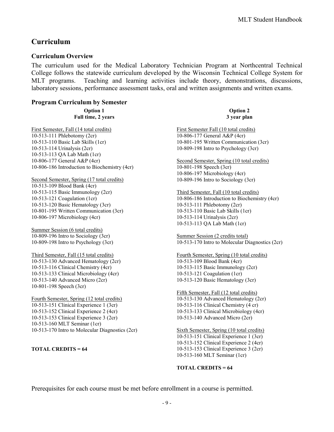# <span id="page-9-0"></span>**Curriculum**

# <span id="page-9-1"></span>**Curriculum Overview**

The curriculum used for the Medical Laboratory Technician Program at Northcentral Technical College follows the statewide curriculum developed by the Wisconsin Technical College System for MLT programs. Teaching and learning activities include theory, demonstrations, discussions, laboratory sessions, performance assessment tasks, oral and written assignments and written exams.

#### <span id="page-9-2"></span>**Program Curriculum by Semester**

**Option 1 Full time, 2 years**

First Semester, Fall (14 total credits) 10-513-111 Phlebotomy (2cr) 10-513-110 Basic Lab Skills (1cr) 10-513-114 Urinalysis (2cr) 10-513-113 QA Lab Math (1cr) 10-806-177 General A&P (4cr) 10-806-186 Introduction to Biochemistry (4cr)

Second Semester, Spring (17 total credits) 10-513-109 Blood Bank (4cr) 10-513-115 Basic Immunology (2cr) 10-513-121 Coagulation (1cr) 10-513-120 Basic Hematology (3cr) 10-801-195 Written Communication (3cr) 10-806-197 Microbiology (4cr)

Summer Session (6 total credits) 10-809-196 Intro to Sociology (3cr) 10-809-198 Intro to Psychology (3cr)

Third Semester, Fall (15 total credits) 10-513-130 Advanced Hematology (2cr) 10-513-116 Clinical Chemistry (4cr) 10-513-133 Clinical Microbiology (4cr) 10-513-140 Advanced Micro (2cr) 10-801-198 Speech (3cr)

Fourth Semester, Spring (12 total credits) 10-513-151 Clinical Experience 1 (3cr) 10-513-152 Clinical Experience 2 (4cr) 10-513-153 Clinical Experience 3 (2cr) 10-513-160 MLT Seminar (1cr) 10-513-170 Intro to Molecular Diagnostics (2cr)

**TOTAL CREDITS = 64**

**Option 2 3 year plan**

First Semester Fall (10 total credits) 10-806-177 General A&P (4cr) 10-801-195 Written Communication (3cr) 10-809-198 Intro to Psychology (3cr)

Second Semester, Spring (10 total credits) 10-801-198 Speech (3cr) 10-806-197 Microbiology (4cr) 10-809-196 Intro to Sociology (3cr)

Third Semester, Fall (10 total credits) 10-806-186 Introduction to Biochemistry (4cr) 10-513-111 Phlebotomy (2cr) 10-513-110 Basic Lab Skills (1cr) 10-513-114 Urinalysis (2cr) 10-513-113 QA Lab Math (1cr)

Summer Session (2 credits total) 10-513-170 Intro to Molecular Diagnostics (2cr)

Fourth Semester, Spring (10 total credits) 10-513-109 Blood Bank (4cr) 10-513-115 Basic Immunology (2cr) 10-513-121 Coagulation (1cr) 10-513-120 Basic Hematology (3cr)

Fifth Semester, Fall (12 total credits) 10-513-130 Advanced Hematology (2cr) 10-513-116 Clinical Chemistry (4 cr) 10-513-133 Clinical Microbiology (4cr) 10-513-140 Advanced Micro (2cr)

Sixth Semester, Spring (10 total credits) 10-513-151 Clinical Experience 1 (3cr) 10-513-152 Clinical Experience 2 (4cr) 10-513-153 Clinical Experience 3 (2cr) 10-513-160 MLT Seminar (1cr)

#### **TOTAL CREDITS = 64**

Prerequisites for each course must be met before enrollment in a course is permitted.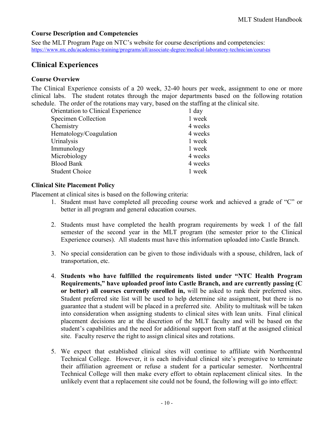# <span id="page-10-0"></span>**Course Description and Competencies**

See the MLT Program Page on NTC's website for course descriptions and competencies: <https://www.ntc.edu/academics-training/programs/all/associate-degree/medical-laboratory-technician/courses>

# <span id="page-10-1"></span>**Clinical Experiences**

# <span id="page-10-2"></span>**Course Overview**

The Clinical Experience consists of a 20 week, 32-40 hours per week, assignment to one or more clinical labs. The student rotates through the major departments based on the following rotation schedule. The order of the rotations may vary, based on the staffing at the clinical site.

| <b>Orientation to Clinical Experience</b> | $1$ day |
|-------------------------------------------|---------|
| Specimen Collection                       | 1 week  |
| Chemistry                                 | 4 weeks |
| Hematology/Coagulation                    | 4 weeks |
| Urinalysis                                | 1 week  |
| Immunology                                | 1 week  |
| Microbiology                              | 4 weeks |
| <b>Blood Bank</b>                         | 4 weeks |
| <b>Student Choice</b>                     | 1 week  |

# <span id="page-10-3"></span>**Clinical Site Placement Policy**

Placement at clinical sites is based on the following criteria:

- 1. Student must have completed all preceding course work and achieved a grade of "C" or better in all program and general education courses.
- 2. Students must have completed the health program requirements by week 1 of the fall semester of the second year in the MLT program (the semester prior to the Clinical Experience courses). All students must have this information uploaded into Castle Branch.
- 3. No special consideration can be given to those individuals with a spouse, children, lack of transportation, etc.
- 4. **Students who have fulfilled the requirements listed under "NTC Health Program Requirements," have uploaded proof into Castle Branch, and are currently passing (C or better) all courses currently enrolled in,** will be asked to rank their preferred sites. Student preferred site list will be used to help determine site assignment, but there is no guarantee that a student will be placed in a preferred site. Ability to multitask will be taken into consideration when assigning students to clinical sites with lean units. Final clinical placement decisions are at the discretion of the MLT faculty and will be based on the student's capabilities and the need for additional support from staff at the assigned clinical site. Faculty reserve the right to assign clinical sites and rotations.
- 5. We expect that established clinical sites will continue to affiliate with Northcentral Technical College. However, it is each individual clinical site's prerogative to terminate their affiliation agreement or refuse a student for a particular semester. Northcentral Technical College will then make every effort to obtain replacement clinical sites. In the unlikely event that a replacement site could not be found, the following will go into effect: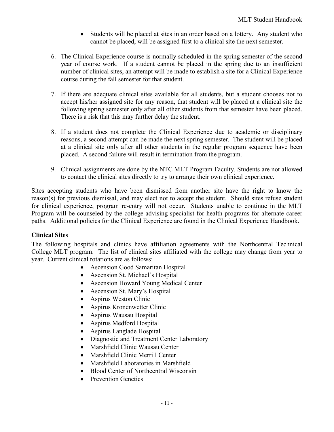- Students will be placed at sites in an order based on a lottery. Any student who cannot be placed, will be assigned first to a clinical site the next semester.
- 6. The Clinical Experience course is normally scheduled in the spring semester of the second year of course work. If a student cannot be placed in the spring due to an insufficient number of clinical sites, an attempt will be made to establish a site for a Clinical Experience course during the fall semester for that student.
- 7. If there are adequate clinical sites available for all students, but a student chooses not to accept his/her assigned site for any reason, that student will be placed at a clinical site the following spring semester only after all other students from that semester have been placed. There is a risk that this may further delay the student.
- 8. If a student does not complete the Clinical Experience due to academic or disciplinary reasons, a second attempt can be made the next spring semester. The student will be placed at a clinical site only after all other students in the regular program sequence have been placed. A second failure will result in termination from the program.
- 9. Clinical assignments are done by the NTC MLT Program Faculty. Students are not allowed to contact the clinical sites directly to try to arrange their own clinical experience.

Sites accepting students who have been dismissed from another site have the right to know the reason(s) for previous dismissal, and may elect not to accept the student. Should sites refuse student for clinical experience, program re-entry will not occur. Students unable to continue in the MLT Program will be counseled by the college advising specialist for health programs for alternate career paths. Additional policies for the Clinical Experience are found in the Clinical Experience Handbook.

# <span id="page-11-0"></span>**Clinical Sites**

The following hospitals and clinics have affiliation agreements with the Northcentral Technical College MLT program. The list of clinical sites affiliated with the college may change from year to year. Current clinical rotations are as follows:

- Ascension Good Samaritan Hospital
- Ascension St. Michael's Hospital
- Ascension Howard Young Medical Center
- Ascension St. Mary's Hospital
- Aspirus Weston Clinic
- Aspirus Kronenwetter Clinic
- Aspirus Wausau Hospital
- Aspirus Medford Hospital
- Aspirus Langlade Hospital
- Diagnostic and Treatment Center Laboratory
- Marshfield Clinic Wausau Center
- Marshfield Clinic Merrill Center
- Marshfield Laboratories in Marshfield
- Blood Center of Northcentral Wisconsin
- Prevention Genetics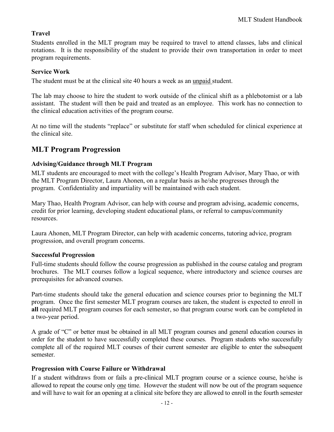# <span id="page-12-0"></span>**Travel**

Students enrolled in the MLT program may be required to travel to attend classes, labs and clinical rotations. It is the responsibility of the student to provide their own transportation in order to meet program requirements.

# <span id="page-12-1"></span>**Service Work**

The student must be at the clinical site 40 hours a week as an unpaid student.

The lab may choose to hire the student to work outside of the clinical shift as a phlebotomist or a lab assistant. The student will then be paid and treated as an employee. This work has no connection to the clinical education activities of the program course.

At no time will the students "replace" or substitute for staff when scheduled for clinical experience at the clinical site.

# <span id="page-12-2"></span>**MLT Program Progression**

# <span id="page-12-3"></span>**Advising/Guidance through MLT Program**

MLT students are encouraged to meet with the college's Health Program Advisor, Mary Thao, or with the MLT Program Director, Laura Ahonen, on a regular basis as he/she progresses through the program. Confidentiality and impartiality will be maintained with each student.

Mary Thao, Health Program Advisor, can help with course and program advising, academic concerns, credit for prior learning, developing student educational plans, or referral to campus/community resources.

Laura Ahonen, MLT Program Director, can help with academic concerns, tutoring advice, program progression, and overall program concerns.

# <span id="page-12-4"></span>**Successful Progression**

Full-time students should follow the course progression as published in the course catalog and program brochures. The MLT courses follow a logical sequence, where introductory and science courses are prerequisites for advanced courses.

Part-time students should take the general education and science courses prior to beginning the MLT program. Once the first semester MLT program courses are taken, the student is expected to enroll in **all** required MLT program courses for each semester, so that program course work can be completed in a two-year period.

A grade of "C" or better must be obtained in all MLT program courses and general education courses in order for the student to have successfully completed these courses. Program students who successfully complete all of the required MLT courses of their current semester are eligible to enter the subsequent semester.

# <span id="page-12-5"></span>**Progression with Course Failure or Withdrawal**

If a student withdraws from or fails a pre-clinical MLT program course or a science course, he/she is allowed to repeat the course only one time. However the student will now be out of the program sequence and will have to wait for an opening at a clinical site before they are allowed to enroll in the fourth semester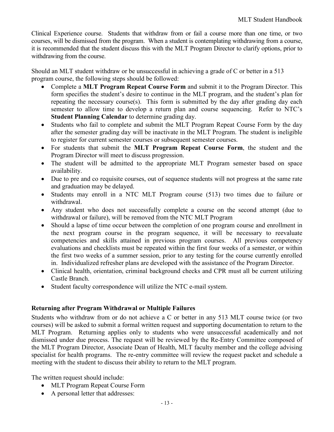Clinical Experience course. Students that withdraw from or fail a course more than one time, or two courses, will be dismissed from the program. When a student is contemplating withdrawing from a course, it is recommended that the student discuss this with the MLT Program Director to clarify options, prior to withdrawing from the course.

Should an MLT student withdraw or be unsuccessful in achieving a grade of C or better in a 513 program course, the following steps should be followed:

- Complete a **MLT Program Repeat Course Form** and submit it to the Program Director. This form specifies the student's desire to continue in the MLT program, and the student's plan for repeating the necessary course(s). This form is submitted by the day after grading day each semester to allow time to develop a return plan and course sequencing. Refer to NTC's **Student Planning Calendar** to determine grading day.
- Students who fail to complete and submit the MLT Program Repeat Course Form by the day after the semester grading day will be inactivate in the MLT Program. The student is ineligible to register for current semester courses or subsequent semester courses.
- For students that submit the **MLT Program Repeat Course Form**, the student and the Program Director will meet to discuss progression.
- The student will be admitted to the appropriate MLT Program semester based on space availability.
- Due to pre and co requisite courses, out of sequence students will not progress at the same rate and graduation may be delayed.
- Students may enroll in a NTC MLT Program course (513) two times due to failure or withdrawal.
- Any student who does not successfully complete a course on the second attempt (due to withdrawal or failure), will be removed from the NTC MLT Program
- Should a lapse of time occur between the completion of one program course and enrollment in the next program course in the program sequence, it will be necessary to reevaluate competencies and skills attained in previous program courses. All previous competency evaluations and checklists must be repeated within the first four weeks of a semester, or within the first two weeks of a summer session, prior to any testing for the course currently enrolled in. Individualized refresher plans are developed with the assistance of the Program Director.
- Clinical health, orientation, criminal background checks and CPR must all be current utilizing Castle Branch.
- Student faculty correspondence will utilize the NTC e-mail system.

# <span id="page-13-0"></span>**Returning after Program Withdrawal or Multiple Failures**

Students who withdraw from or do not achieve a C or better in any 513 MLT course twice (or two courses) will be asked to submit a formal written request and supporting documentation to return to the MLT Program. Returning applies only to students who were unsuccessful academically and not dismissed under due process. The request will be reviewed by the Re-Entry Committee composed of the MLT Program Director, Associate Dean of Health, MLT faculty member and the college advising specialist for health programs. The re-entry committee will review the request packet and schedule a meeting with the student to discuss their ability to return to the MLT program.

The written request should include:

- MLT Program Repeat Course Form
- A personal letter that addresses: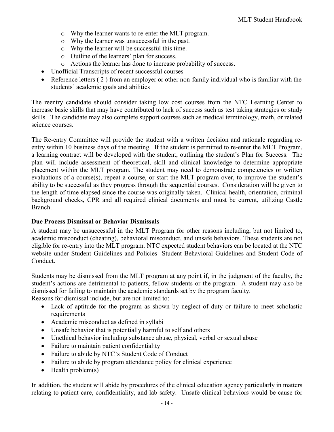- o Why the learner wants to re-enter the MLT program.
- o Why the learner was unsuccessful in the past.
- o Why the learner will be successful this time.
- o Outline of the learners' plan for success.
- o Actions the learner has done to increase probability of success.
- Unofficial Transcripts of recent successful courses
- Reference letters (2) from an employer or other non-family individual who is familiar with the students' academic goals and abilities

The reentry candidate should consider taking low cost courses from the NTC Learning Center to increase basic skills that may have contributed to lack of success such as test taking strategies or study skills. The candidate may also complete support courses such as medical terminology, math, or related science courses.

The Re-entry Committee will provide the student with a written decision and rationale regarding reentry within 10 business days of the meeting. If the student is permitted to re-enter the MLT Program, a learning contract will be developed with the student, outlining the student's Plan for Success. The plan will include assessment of theoretical, skill and clinical knowledge to determine appropriate placement within the MLT program. The student may need to demonstrate competencies or written evaluations of a course(s), repeat a course, or start the MLT program over, to improve the student's ability to be successful as they progress through the sequential courses. Consideration will be given to the length of time elapsed since the course was originally taken. Clinical health, orientation, criminal background checks, CPR and all required clinical documents and must be current, utilizing Castle Branch.

# <span id="page-14-0"></span>**Due Process Dismissal or Behavior Dismissals**

A student may be unsuccessful in the MLT Program for other reasons including, but not limited to, academic misconduct (cheating), behavioral misconduct, and unsafe behaviors. These students are not eligible for re-entry into the MLT program. NTC expected student behaviors can be located at the NTC website under Student Guidelines and Policies- Student Behavioral Guidelines and Student Code of Conduct.

Students may be dismissed from the MLT program at any point if, in the judgment of the faculty, the student's actions are detrimental to patients, fellow students or the program. A student may also be dismissed for failing to maintain the academic standards set by the program faculty.

Reasons for dismissal include, but are not limited to:

- Lack of aptitude for the program as shown by neglect of duty or failure to meet scholastic requirements
- Academic misconduct as defined in syllabi
- Unsafe behavior that is potentially harmful to self and others
- Unethical behavior including substance abuse, physical, verbal or sexual abuse
- Failure to maintain patient confidentiality
- Failure to abide by NTC's Student Code of Conduct
- Failure to abide by program attendance policy for clinical experience
- Health problem(s)

In addition, the student will abide by procedures of the clinical education agency particularly in matters relating to patient care, confidentiality, and lab safety. Unsafe clinical behaviors would be cause for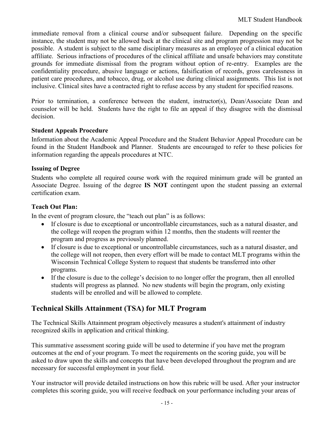immediate removal from a clinical course and/or subsequent failure. Depending on the specific instance, the student may not be allowed back at the clinical site and program progression may not be possible. A student is subject to the same disciplinary measures as an employee of a clinical education affiliate. Serious infractions of procedures of the clinical affiliate and unsafe behaviors may constitute grounds for immediate dismissal from the program without option of re-entry. Examples are the confidentiality procedure, abusive language or actions, falsification of records, gross carelessness in patient care procedures, and tobacco, drug, or alcohol use during clinical assignments. This list is not inclusive. Clinical sites have a contracted right to refuse access by any student for specified reasons.

Prior to termination, a conference between the student, instructor(s), Dean/Associate Dean and counselor will be held. Students have the right to file an appeal if they disagree with the dismissal decision.

# <span id="page-15-0"></span>**Student Appeals Procedure**

Information about the Academic Appeal Procedure and the Student Behavior Appeal Procedure can be found in the Student Handbook and Planner. Students are encouraged to refer to these policies for information regarding the appeals procedures at NTC.

### <span id="page-15-1"></span>**Issuing of Degree**

Students who complete all required course work with the required minimum grade will be granted an Associate Degree. Issuing of the degree **IS NOT** contingent upon the student passing an external certification exam.

### <span id="page-15-2"></span>**Teach Out Plan:**

In the event of program closure, the "teach out plan" is as follows:

- If closure is due to exceptional or uncontrollable circumstances, such as a natural disaster, and the college will reopen the program within 12 months, then the students will reenter the program and progress as previously planned.
- If closure is due to exceptional or uncontrollable circumstances, such as a natural disaster, and the college will not reopen, then every effort will be made to contact MLT programs within the Wisconsin Technical College System to request that students be transferred into other programs.
- If the closure is due to the college's decision to no longer offer the program, then all enrolled students will progress as planned. No new students will begin the program, only existing students will be enrolled and will be allowed to complete.

# <span id="page-15-3"></span>**Technical Skills Attainment (TSA) for MLT Program**

The Technical Skills Attainment program objectively measures a student's attainment of industry recognized skills in application and critical thinking.

This summative assessment scoring guide will be used to determine if you have met the program outcomes at the end of your program. To meet the requirements on the scoring guide, you will be asked to draw upon the skills and concepts that have been developed throughout the program and are necessary for successful employment in your field.

Your instructor will provide detailed instructions on how this rubric will be used. After your instructor completes this scoring guide, you will receive feedback on your performance including your areas of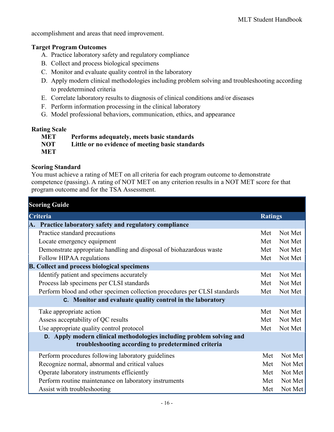accomplishment and areas that need improvement.

# **Target Program Outcomes**

- A. Practice laboratory safety and regulatory compliance
- B. Collect and process biological specimens
- C. Monitor and evaluate quality control in the laboratory
- D. Apply modern clinical methodologies including problem solving and troubleshooting according to predetermined criteria
- E. Correlate laboratory results to diagnosis of clinical conditions and/or diseases
- F. Perform information processing in the clinical laboratory
- G. Model professional behaviors, communication, ethics, and appearance

### **Rating Scale**

| <b>MET</b> | Performs adequately, meets basic standards       |
|------------|--------------------------------------------------|
| <b>NOT</b> | Little or no evidence of meeting basic standards |
| <b>MET</b> |                                                  |

# **Scoring Standard**

You must achieve a rating of MET on all criteria for each program outcome to demonstrate competence (passing). A rating of NOT MET on any criterion results in a NOT MET score for that program outcome and for the TSA Assessment.

| <b>Scoring Guide</b>                                                                                                        |                |         |
|-----------------------------------------------------------------------------------------------------------------------------|----------------|---------|
| Criteria                                                                                                                    | <b>Ratings</b> |         |
| A. Practice laboratory safety and regulatory compliance                                                                     |                |         |
| Practice standard precautions                                                                                               | Met            | Not Met |
| Locate emergency equipment                                                                                                  | Met            | Not Met |
| Demonstrate appropriate handling and disposal of biohazardous waste                                                         | Met            | Not Met |
| Follow HIPAA regulations                                                                                                    | Met            | Not Met |
| <b>B.</b> Collect and process biological specimens                                                                          |                |         |
| Identify patient and specimens accurately                                                                                   | Met            | Not Met |
| Process lab specimens per CLSI standards                                                                                    | Met            | Not Met |
| Perform blood and other specimen collection procedures per CLSI standards                                                   | Met            | Not Met |
| C. Monitor and evaluate quality control in the laboratory                                                                   |                |         |
| Take appropriate action                                                                                                     | Met            | Not Met |
| Assess acceptability of QC results                                                                                          | Met            | Not Met |
| Use appropriate quality control protocol                                                                                    | Met            | Not Met |
| D. Apply modern clinical methodologies including problem solving and<br>troubleshooting according to predetermined criteria |                |         |
| Perform procedures following laboratory guidelines                                                                          | Met            | Not Met |
| Recognize normal, abnormal and critical values                                                                              | Met            | Not Met |
| Operate laboratory instruments efficiently                                                                                  | Met            | Not Met |
| Perform routine maintenance on laboratory instruments                                                                       | Met            | Not Met |
| Assist with troubleshooting                                                                                                 | Met            | Not Met |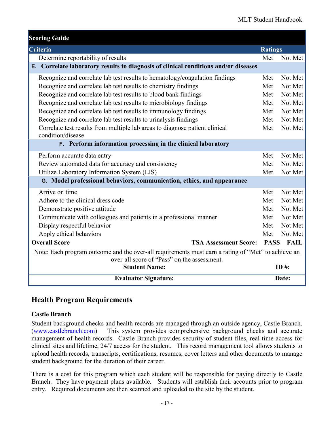| <b>Scoring Guide</b>                                                                                                                              |                |                  |  |
|---------------------------------------------------------------------------------------------------------------------------------------------------|----------------|------------------|--|
| Criteria                                                                                                                                          | <b>Ratings</b> |                  |  |
| Determine reportability of results                                                                                                                | Met            | Not Met          |  |
| E. Correlate laboratory results to diagnosis of clinical conditions and/or diseases                                                               |                |                  |  |
| Recognize and correlate lab test results to hematology/coagulation findings                                                                       | Met            | Not Met          |  |
| Recognize and correlate lab test results to chemistry findings                                                                                    | Met            | Not Met          |  |
| Recognize and correlate lab test results to blood bank findings                                                                                   | Met            | Not Met          |  |
| Recognize and correlate lab test results to microbiology findings                                                                                 | Met            | Not Met          |  |
| Recognize and correlate lab test results to immunology findings                                                                                   | Met            | Not Met          |  |
| Recognize and correlate lab test results to urinalysis findings                                                                                   | Met            | Not Met          |  |
| Correlate test results from multiple lab areas to diagnose patient clinical<br>condition/disease                                                  | Met            | Not Met          |  |
| F. Perform information processing in the clinical laboratory                                                                                      |                |                  |  |
| Perform accurate data entry                                                                                                                       | Met            | Not Met          |  |
| Review automated data for accuracy and consistency                                                                                                | Met            | Not Met          |  |
| Utilize Laboratory Information System (LIS)                                                                                                       | Met            | Not Met          |  |
| G. Model professional behaviors, communication, ethics, and appearance                                                                            |                |                  |  |
| Arrive on time                                                                                                                                    | Met            | Not Met          |  |
| Adhere to the clinical dress code                                                                                                                 | Met            | Not Met          |  |
| Demonstrate positive attitude                                                                                                                     | Met            | Not Met          |  |
| Communicate with colleagues and patients in a professional manner                                                                                 | Met            | Not Met          |  |
| Display respectful behavior                                                                                                                       | Met            | Not Met          |  |
| Apply ethical behaviors                                                                                                                           | Met            | Not Met          |  |
| <b>Overall Score</b><br><b>TSA Assessment Score:</b>                                                                                              |                | <b>PASS FAIL</b> |  |
| Note: Each program outcome and the over-all requirements must earn a rating of "Met" to achieve an<br>over-all score of "Pass" on the assessment. |                |                  |  |
| <b>Student Name:</b>                                                                                                                              |                | ID $#$ :         |  |
| <b>Evaluator Signature:</b>                                                                                                                       |                | Date:            |  |

# <span id="page-17-0"></span>**Health Program Requirements**

# <span id="page-17-1"></span>**Castle Branch**

Student background checks and health records are managed through an outside agency, Castle Branch. [\(www.castlebranch.com\)](http://www.castlebranch.com/) This system provides comprehensive background checks and accurate management of health records. Castle Branch provides security of student files, real-time access for clinical sites and lifetime, 24/7 access for the student. This record management tool allows students to upload health records, transcripts, certifications, resumes, cover letters and other documents to manage student background for the duration of their career.

There is a cost for this program which each student will be responsible for paying directly to Castle Branch. They have payment plans available. Students will establish their accounts prior to program entry. Required documents are then scanned and uploaded to the site by the student.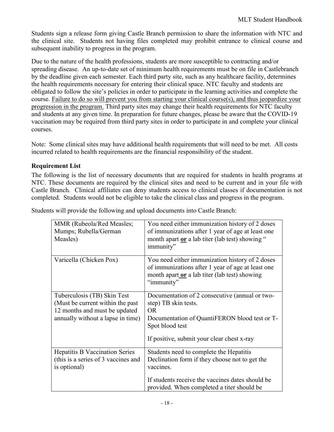Students sign a release form giving Castle Branch permission to share the information with NTC and the clinical site. Students not having files completed may prohibit entrance to clinical course and subsequent inability to progress in the program.

Due to the nature of the health professions, students are more susceptible to contracting and/or spreading disease. An up-to-date set of minimum health requirements must be on file in Castlebranch by the deadline given each semester. Each third party site, such as any healthcare facility, determines the health requirements necessary for entering their clinical space. NTC faculty and students are obligated to follow the site's policies in order to participate in the learning activities and complete the course. Failure to do so will prevent you from starting your clinical course(s), and thus jeopardize your progression in the program. Third party sites may change their health requirements for NTC faculty and students at any given time. In preparation for future changes, please be aware that the COVID-19 vaccination may be required from third party sites in order to participate in and complete your clinical courses.

Note: Some clinical sites may have additional health requirements that will need to be met. All costs incurred related to health requirements are the financial responsibility of the student.

# <span id="page-18-0"></span>**Requirement List**

The following is the list of necessary documents that are required for students in health programs at NTC. These documents are required by the clinical sites and need to be current and in your file with Castle Branch. Clinical affiliates can deny students access to clinical classes if documentation is not completed. Students would not be eligible to take the clinical class and progress in the program.

| MMR (Rubeola/Red Measles;<br>Mumps; Rubella/German<br>Measles)                                                                        | You need either immunization history of 2 doses<br>of immunizations after 1 year of age at least one<br>month apart or a lab titer (lab test) showing "<br>immunity"                                     |
|---------------------------------------------------------------------------------------------------------------------------------------|----------------------------------------------------------------------------------------------------------------------------------------------------------------------------------------------------------|
| Varicella (Chicken Pox)                                                                                                               | You need either immunization history of 2 doses<br>of immunizations after 1 year of age at least one<br>month apart or a lab titer (lab test) showing<br>"immunity"                                      |
| Tuberculosis (TB) Skin Test<br>(Must be current within the past<br>12 months and must be updated<br>annually without a lapse in time) | Documentation of 2 consecutive (annual or two-<br>step) TB skin tests.<br><b>OR</b><br>Documentation of QuantiFERON blood test or T-<br>Spot blood test<br>If positive, submit your clear chest x-ray    |
| <b>Hepatitis B Vaccination Series</b><br>(this is a series of 3 vaccines and<br>is optional)                                          | Students need to complete the Hepatitis<br>Declination form if they choose not to get the<br>vaccines.<br>If students receive the vaccines dates should be<br>provided. When completed a titer should be |

Students will provide the following and upload documents into Castle Branch: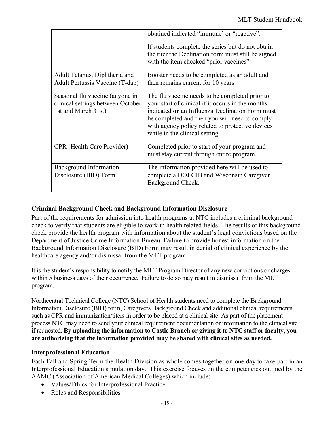|                                                                                             | obtained indicated "immune' or "reactive".<br>If students complete the series but do not obtain<br>the titer the Declination form must still be signed<br>with the item checked "prior vaccines"                                                                                              |
|---------------------------------------------------------------------------------------------|-----------------------------------------------------------------------------------------------------------------------------------------------------------------------------------------------------------------------------------------------------------------------------------------------|
| Adult Tetanus, Diphtheria and<br>Adult Pertussis Vaccine (T-dap)                            | Booster needs to be completed as an adult and<br>then remains current for 10 years                                                                                                                                                                                                            |
| Seasonal flu vaccine (anyone in<br>clinical settings between October<br>1st and March 31st) | The flu vaccine needs to be completed prior to<br>your start of clinical if it occurs in the months<br>indicated or an Influenza Declination Form must<br>be completed and then you will need to comply<br>with agency policy related to protective devices<br>while in the clinical setting. |
| <b>CPR</b> (Health Care Provider)                                                           | Completed prior to start of your program and<br>must stay current through entire program.                                                                                                                                                                                                     |
| Background Information<br>Disclosure (BID) Form                                             | The information provided here will be used to<br>complete a DOJ CIB and Wisconsin Caregiver<br>Background Check.                                                                                                                                                                              |

# <span id="page-19-0"></span>**Criminal Background Check and Background Information Disclosure**

Part of the requirements for admission into health programs at NTC includes a criminal background check to verify that students are eligible to work in health related fields. The results of this background check provide the health program with information about the student's legal convictions based on the Department of Justice Crime Information Bureau. Failure to provide honest information on the Background Information Disclosure (BID) Form may result in denial of clinical experience by the healthcare agency and/or dismissal from the MLT program.

It is the student's responsibility to notify the MLT Program Director of any new convictions or charges within 5 business days of their occurrence. Failure to do so may result in dismissal from the MLT program.

Northcentral Technical College (NTC) School of Health students need to complete the Background Information Disclosure (BID) form, Caregivers Background Check and additional clinical requirements such as CPR and immunization/titers in order to be placed at a clinical site. As part of the placement process NTC may need to send your clinical requirement documentation or information to the clinical site if requested. **By uploading the information to Castle Branch or giving it to NTC staff or faculty, you are authorizing that the information provided may be shared with clinical sites as needed.**

# <span id="page-19-1"></span>**Interprofessional Education**

Each Fall and Spring Term the Health Division as whole comes together on one day to take part in an Interprofessional Education simulation day. This exercise focuses on the competencies outlined by the AAMC (Association of American Medical Colleges) which include:

- Values/Ethics for Interprofessional Practice
- Roles and Responsibilities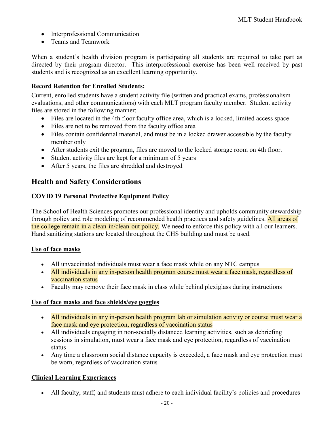- Interprofessional Communication
- Teams and Teamwork

When a student's health division program is participating all students are required to take part as directed by their program director. This interprofessional exercise has been well received by past students and is recognized as an excellent learning opportunity.

# <span id="page-20-0"></span>**Record Retention for Enrolled Students:**

Current, enrolled students have a student activity file (written and practical exams, professionalism evaluations, and other communications) with each MLT program faculty member. Student activity files are stored in the following manner:

- Files are located in the 4th floor faculty office area, which is a locked, limited access space
- Files are not to be removed from the faculty office area
- Files contain confidential material, and must be in a locked drawer accessible by the faculty member only
- After students exit the program, files are moved to the locked storage room on 4th floor.
- Student activity files are kept for a minimum of 5 years
- After 5 years, the files are shredded and destroyed

# <span id="page-20-1"></span>**Health and Safety Considerations**

# <span id="page-20-2"></span>**COVID 19 Personal Protective Equipment Policy**

The School of Health Sciences promotes our professional identity and upholds community stewardship through policy and role modeling of recommended health practices and safety guidelines. All areas of the college remain in a clean-in/clean-out policy. We need to enforce this policy with all our learners. Hand sanitizing stations are located throughout the CHS building and must be used.

# **Use of face masks**

- All unvaccinated individuals must wear a face mask while on any NTC campus
- All individuals in any in-person health program course must wear a face mask, regardless of vaccination status
- Faculty may remove their face mask in class while behind plexiglass during instructions

# **Use of face masks and face shields/eye goggles**

- All individuals in any in-person health program lab or simulation activity or course must wear a face mask and eye protection, regardless of vaccination status
- All individuals engaging in non-socially distanced learning activities, such as debriefing sessions in simulation, must wear a face mask and eye protection, regardless of vaccination status
- Any time a classroom social distance capacity is exceeded, a face mask and eye protection must be worn, regardless of vaccination status

# **Clinical Learning Experiences**

• All faculty, staff, and students must adhere to each individual facility's policies and procedures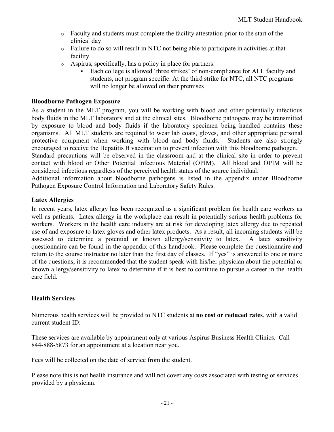- o Faculty and students must complete the facility attestation prior to the start of the clinical day
- $\circ$  Failure to do so will result in NTC not being able to participate in activities at that facility
- o Aspirus, specifically, has a policy in place for partners:
	- Each college is allowed 'three strikes' of non-compliance for ALL faculty and students, not program specific. At the third strike for NTC, all NTC programs will no longer be allowed on their premises

# <span id="page-21-0"></span>**Bloodborne Pathogen Exposure**

As a student in the MLT program, you will be working with blood and other potentially infectious body fluids in the MLT laboratory and at the clinical sites. Bloodborne pathogens may be transmitted by exposure to blood and body fluids if the laboratory specimen being handled contains these organisms. All MLT students are required to wear lab coats, gloves, and other appropriate personal protective equipment when working with blood and body fluids. Students are also strongly encouraged to receive the Hepatitis B vaccination to prevent infection with this bloodborne pathogen.

Standard precautions will be observed in the classroom and at the clinical site in order to prevent contact with blood or Other Potential Infectious Material (OPIM). All blood and OPIM will be considered infectious regardless of the perceived health status of the source individual.

Additional information about bloodborne pathogens is listed in the appendix under Bloodborne Pathogen Exposure Control Information and Laboratory Safety Rules.

### <span id="page-21-1"></span>**Latex Allergies**

In recent years, latex allergy has been recognized as a significant problem for health care workers as well as patients. Latex allergy in the workplace can result in potentially serious health problems for workers. Workers in the health care industry are at risk for developing latex allergy due to repeated use of and exposure to latex gloves and other latex products. As a result, all incoming students will be assessed to determine a potential or known allergy/sensitivity to latex. A latex sensitivity questionnaire can be found in the appendix of this handbook. Please complete the questionnaire and return to the course instructor no later than the first day of classes. If "yes" is answered to one or more of the questions, it is recommended that the student speak with his/her physician about the potential or known allergy/sensitivity to latex to determine if it is best to continue to pursue a career in the health care field.

# <span id="page-21-2"></span>**Health Services**

Numerous health services will be provided to NTC students at **no cost or reduced rates**, with a valid current student ID:

These services are available by appointment only at various Aspirus Business Health Clinics. Call 844-888-5873 for an appointment at a location near you.

Fees will be collected on the date of service from the student.

Please note this is not health insurance and will not cover any costs associated with testing or services provided by a physician.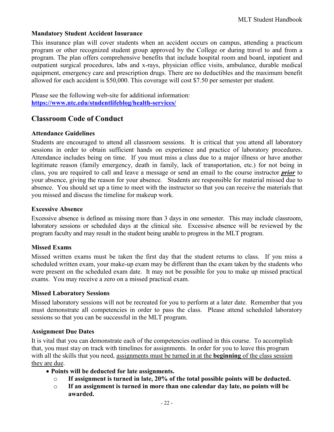# <span id="page-22-0"></span>**Mandatory Student Accident Insurance**

This insurance plan will cover students when an accident occurs on campus, attending a practicum program or other recognized student group approved by the College or during travel to and from a program. The plan offers comprehensive benefits that include hospital room and board, inpatient and outpatient surgical procedures, labs and x-rays, physician office visits, ambulance, durable medical equipment, emergency care and prescription drugs. There are no deductibles and the maximum benefit allowed for each accident is \$50,000. This coverage will cost \$7.50 per semester per student.

Please see the following web-site for additional information: **<https://www.ntc.edu/studentlifeblog/health-services/>**

# <span id="page-22-1"></span>**Classroom Code of Conduct**

### <span id="page-22-2"></span>**Attendance Guidelines**

Students are encouraged to attend all classroom sessions. It is critical that you attend all laboratory sessions in order to obtain sufficient hands on experience and practice of laboratory procedures. Attendance includes being on time. If you must miss a class due to a major illness or have another legitimate reason (family emergency, death in family, lack of transportation, etc.) for not being in class, you are required to call and leave a message or send an email to the course instructor *prior* to your absence, giving the reason for your absence. Students are responsible for material missed due to absence. You should set up a time to meet with the instructor so that you can receive the materials that you missed and discuss the timeline for makeup work.

#### <span id="page-22-3"></span>**Excessive Absence**

Excessive absence is defined as missing more than 3 days in one semester. This may include classroom, laboratory sessions or scheduled days at the clinical site. Excessive absence will be reviewed by the program faculty and may result in the student being unable to progress in the MLT program.

#### <span id="page-22-4"></span>**Missed Exams**

Missed written exams must be taken the first day that the student returns to class. If you miss a scheduled written exam, your make-up exam may be different than the exam taken by the students who were present on the scheduled exam date. It may not be possible for you to make up missed practical exams. You may receive a zero on a missed practical exam.

#### <span id="page-22-5"></span>**Missed Laboratory Sessions**

Missed laboratory sessions will not be recreated for you to perform at a later date. Remember that you must demonstrate all competencies in order to pass the class. Please attend scheduled laboratory sessions so that you can be successful in the MLT program.

#### <span id="page-22-6"></span>**Assignment Due Dates**

It is vital that you can demonstrate each of the competencies outlined in this course. To accomplish that, you must stay on track with timelines for assignments. In order for you to leave this program with all the skills that you need, assignments must be turned in at the **beginning** of the class session they are due.

- **Points will be deducted for late assignments.**
	- o **If assignment is turned in late, 20% of the total possible points will be deducted.**
	- o **If an assignment is turned in more than one calendar day late, no points will be awarded.**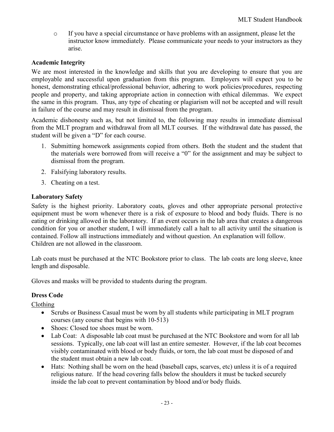o If you have a special circumstance or have problems with an assignment, please let the instructor know immediately. Please communicate your needs to your instructors as they arise.

# <span id="page-23-0"></span>**Academic Integrity**

We are most interested in the knowledge and skills that you are developing to ensure that you are employable and successful upon graduation from this program. Employers will expect you to be honest, demonstrating ethical/professional behavior, adhering to work policies/procedures, respecting people and property, and taking appropriate action in connection with ethical dilemmas. We expect the same in this program. Thus, any type of cheating or plagiarism will not be accepted and will result in failure of the course and may result in dismissal from the program.

Academic dishonesty such as, but not limited to, the following may results in immediate dismissal from the MLT program and withdrawal from all MLT courses. If the withdrawal date has passed, the student will be given a "D" for each course.

- 1. Submitting homework assignments copied from others. Both the student and the student that the materials were borrowed from will receive a "0" for the assignment and may be subject to dismissal from the program.
- 2. Falsifying laboratory results.
- 3. Cheating on a test.

# <span id="page-23-1"></span>**Laboratory Safety**

Safety is the highest priority. Laboratory coats, gloves and other appropriate personal protective equipment must be worn whenever there is a risk of exposure to blood and body fluids. There is no eating or drinking allowed in the laboratory. If an event occurs in the lab area that creates a dangerous condition for you or another student, I will immediately call a halt to all activity until the situation is contained. Follow all instructions immediately and without question. An explanation will follow. Children are not allowed in the classroom.

Lab coats must be purchased at the NTC Bookstore prior to class. The lab coats are long sleeve, knee length and disposable.

<span id="page-23-2"></span>Gloves and masks will be provided to students during the program.

# **Dress Code**

Clothing

- Scrubs or Business Casual must be worn by all students while participating in MLT program courses (any course that begins with 10-513)
- Shoes: Closed toe shoes must be worn.
- Lab Coat: A disposable lab coat must be purchased at the NTC Bookstore and worn for all lab sessions. Typically, one lab coat will last an entire semester. However, if the lab coat becomes visibly contaminated with blood or body fluids, or torn, the lab coat must be disposed of and the student must obtain a new lab coat.
- Hats: Nothing shall be worn on the head (baseball caps, scarves, etc) unless it is of a required religious nature. If the head covering falls below the shoulders it must be tucked securely inside the lab coat to prevent contamination by blood and/or body fluids.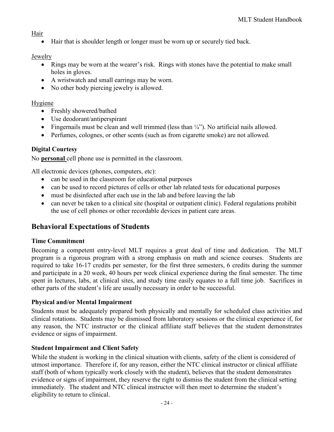# Hair

• Hair that is shoulder length or longer must be worn up or securely tied back.

# Jewelry

- Rings may be worn at the wearer's risk. Rings with stones have the potential to make small holes in gloves.
- A wristwatch and small earrings may be worn.
- No other body piercing jewelry is allowed.

# Hygiene

- Freshly showered/bathed
- Use deodorant/antiperspirant
- Fingernails must be clean and well trimmed (less than  $\frac{1}{4}$ ). No artificial nails allowed.
- Perfumes, colognes, or other scents (such as from cigarette smoke) are not allowed.

# <span id="page-24-0"></span>**Digital Courtesy**

No **personal** cell phone use is permitted in the classroom.

All electronic devices (phones, computers, etc):

- can be used in the classroom for educational purposes
- can be used to record pictures of cells or other lab related tests for educational purposes
- must be disinfected after each use in the lab and before leaving the lab
- can never be taken to a clinical site (hospital or outpatient clinic). Federal regulations prohibit the use of cell phones or other recordable devices in patient care areas.

# <span id="page-24-1"></span>**Behavioral Expectations of Students**

# <span id="page-24-2"></span>**Time Commitment**

Becoming a competent entry-level MLT requires a great deal of time and dedication. The MLT program is a rigorous program with a strong emphasis on math and science courses. Students are required to take 16-17 credits per semester, for the first three semesters, 6 credits during the summer and participate in a 20 week, 40 hours per week clinical experience during the final semester. The time spent in lectures, labs, at clinical sites, and study time easily equates to a full time job. Sacrifices in other parts of the student's life are usually necessary in order to be successful.

# <span id="page-24-3"></span>**Physical and/or Mental Impairment**

Students must be adequately prepared both physically and mentally for scheduled class activities and clinical rotations. Students may be dismissed from laboratory sessions or the clinical experience if, for any reason, the NTC instructor or the clinical affiliate staff believes that the student demonstrates evidence or signs of impairment.

# <span id="page-24-4"></span>**Student Impairment and Client Safety**

While the student is working in the clinical situation with clients, safety of the client is considered of utmost importance. Therefore if, for any reason, either the NTC clinical instructor or clinical affiliate staff (both of whom typically work closely with the student), believes that the student demonstrates evidence or signs of impairment, they reserve the right to dismiss the student from the clinical setting immediately. The student and NTC clinical instructor will then meet to determine the student's eligibility to return to clinical.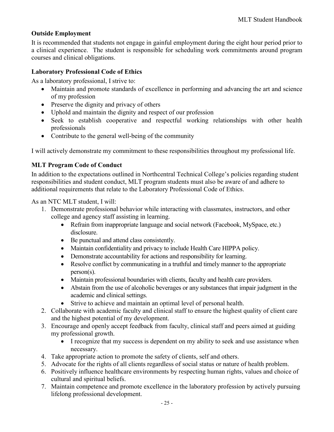# <span id="page-25-0"></span>**Outside Employment**

It is recommended that students not engage in gainful employment during the eight hour period prior to a clinical experience. The student is responsible for scheduling work commitments around program courses and clinical obligations.

# <span id="page-25-1"></span>**Laboratory Professional Code of Ethics**

As a laboratory professional, I strive to:

- Maintain and promote standards of excellence in performing and advancing the art and science of my profession
- Preserve the dignity and privacy of others
- Uphold and maintain the dignity and respect of our profession
- Seek to establish cooperative and respectful working relationships with other health professionals
- Contribute to the general well-being of the community

<span id="page-25-2"></span>I will actively demonstrate my commitment to these responsibilities throughout my professional life.

# **MLT Program Code of Conduct**

In addition to the expectations outlined in Northcentral Technical College's policies regarding student responsibilities and student conduct, MLT program students must also be aware of and adhere to additional requirements that relate to the Laboratory Professional Code of Ethics.

As an NTC MLT student, I will:

- 1. Demonstrate professional behavior while interacting with classmates, instructors, and other college and agency staff assisting in learning.
	- Refrain from inappropriate language and social network (Facebook, MySpace, etc.) disclosure.
	- Be punctual and attend class consistently.
	- Maintain confidentiality and privacy to include Health Care HIPPA policy.
	- Demonstrate accountability for actions and responsibility for learning.
	- Resolve conflict by communicating in a truthful and timely manner to the appropriate person(s).
	- Maintain professional boundaries with clients, faculty and health care providers.
	- Abstain from the use of alcoholic beverages or any substances that impair judgment in the academic and clinical settings.
	- Strive to achieve and maintain an optimal level of personal health.
- 2. Collaborate with academic faculty and clinical staff to ensure the highest quality of client care and the highest potential of my development.
- 3. Encourage and openly accept feedback from faculty, clinical staff and peers aimed at guiding my professional growth.
	- I recognize that my success is dependent on my ability to seek and use assistance when necessary.
- 4. Take appropriate action to promote the safety of clients, self and others.
- 5. Advocate for the rights of all clients regardless of social status or nature of health problem.
- 6. Positively influence healthcare environments by respecting human rights, values and choice of cultural and spiritual beliefs.
- 7. Maintain competence and promote excellence in the laboratory profession by actively pursuing lifelong professional development.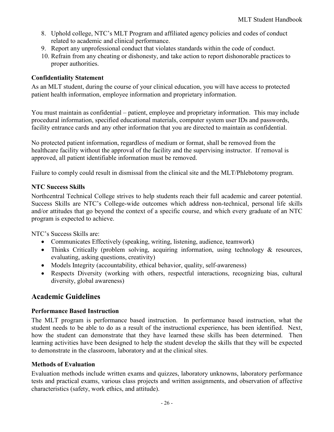- 8. Uphold college, NTC's MLT Program and affiliated agency policies and codes of conduct related to academic and clinical performance.
- 9. Report any unprofessional conduct that violates standards within the code of conduct.
- 10. Refrain from any cheating or dishonesty, and take action to report dishonorable practices to proper authorities.

# <span id="page-26-0"></span>**Confidentiality Statement**

As an MLT student, during the course of your clinical education, you will have access to protected patient health information, employee information and proprietary information.

You must maintain as confidential – patient, employee and proprietary information. This may include procedural information, specified educational materials, computer system user IDs and passwords, facility entrance cards and any other information that you are directed to maintain as confidential.

No protected patient information, regardless of medium or format, shall be removed from the healthcare facility without the approval of the facility and the supervising instructor. If removal is approved, all patient identifiable information must be removed.

<span id="page-26-1"></span>Failure to comply could result in dismissal from the clinical site and the MLT/Phlebotomy program.

# **NTC Success Skills**

Northcentral Technical College strives to help students reach their full academic and career potential. Success Skills are NTC's College-wide outcomes which address non-technical, personal life skills and/or attitudes that go beyond the context of a specific course, and which every graduate of an NTC program is expected to achieve.

NTC's Success Skills are:

- Communicates Effectively (speaking, writing, listening, audience, teamwork)
- Thinks Critically (problem solving, acquiring information, using technology & resources, evaluating, asking questions, creativity)
- Models Integrity (accountability, ethical behavior, quality, self-awareness)
- Respects Diversity (working with others, respectful interactions, recognizing bias, cultural diversity, global awareness)

# <span id="page-26-2"></span>**Academic Guidelines**

# <span id="page-26-3"></span>**Performance Based Instruction**

The MLT program is performance based instruction. In performance based instruction, what the student needs to be able to do as a result of the instructional experience, has been identified. Next, how the student can demonstrate that they have learned these skills has been determined. Then learning activities have been designed to help the student develop the skills that they will be expected to demonstrate in the classroom, laboratory and at the clinical sites.

# <span id="page-26-4"></span>**Methods of Evaluation**

Evaluation methods include written exams and quizzes, laboratory unknowns, laboratory performance tests and practical exams, various class projects and written assignments, and observation of affective characteristics (safety, work ethics, and attitude).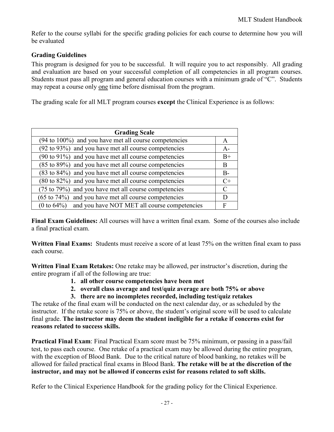Refer to the course syllabi for the specific grading policies for each course to determine how you will be evaluated

# <span id="page-27-0"></span>**Grading Guidelines**

This program is designed for you to be successful. It will require you to act responsibly. All grading and evaluation are based on your successful completion of all competencies in all program courses. Students must pass all program and general education courses with a minimum grade of "C". Students may repeat a course only one time before dismissal from the program.

The grading scale for all MLT program courses **except** the Clinical Experience is as follows:

| <b>Grading Scale</b>                                              |       |  |
|-------------------------------------------------------------------|-------|--|
| $(94 \text{ to } 100\%)$ and you have met all course competencies | A     |  |
| (92 to 93%) and you have met all course competencies              | $A-$  |  |
| $(90 \text{ to } 91\%)$ and you have met all course competencies  | $B+$  |  |
| (85 to 89%) and you have met all course competencies              |       |  |
| (83 to 84%) and you have met all course competencies              | $B -$ |  |
| (80 to 82%) and you have met all course competencies              |       |  |
| (75 to 79%) and you have met all course competencies              |       |  |
| $(65 \text{ to } 74\%)$ and you have met all course competencies  | D     |  |
| $(0 to 64%)$ and you have NOT MET all course competencies         | F     |  |

**Final Exam Guidelines:** All courses will have a written final exam. Some of the courses also include a final practical exam.

**Written Final Exams:** Students must receive a score of at least 75% on the written final exam to pass each course.

**Written Final Exam Retakes:** One retake may be allowed, per instructor's discretion, during the entire program if all of the following are true:

- **1. all other course competencies have been met**
- **2. overall class average and test/quiz average are both 75% or above**
- **3. there are no incompletes recorded, including test/quiz retakes**

The retake of the final exam will be conducted on the next calendar day, or as scheduled by the instructor. If the retake score is 75% or above, the student's original score will be used to calculate final grade. **The instructor may deem the student ineligible for a retake if concerns exist for reasons related to success skills.**

**Practical Final Exam**: Final Practical Exam score must be 75% minimum, or passing in a pass/fail test, to pass each course. One retake of a practical exam may be allowed during the entire program, with the exception of Blood Bank. Due to the critical nature of blood banking, no retakes will be allowed for failed practical final exams in Blood Bank. **The retake will be at the discretion of the instructor, and may not be allowed if concerns exist for reasons related to soft skills.**

Refer to the Clinical Experience Handbook for the grading policy for the Clinical Experience.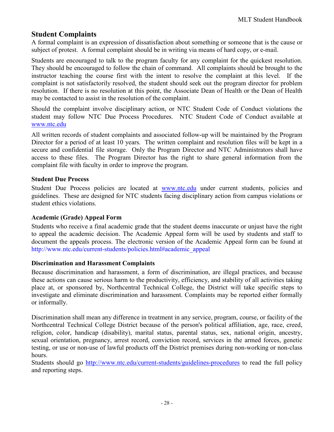# <span id="page-28-0"></span>**Student Complaints**

A formal complaint is an expression of dissatisfaction about something or someone that is the cause or subject of protest. A formal complaint should be in writing via means of hard copy, or e-mail.

Students are encouraged to talk to the program faculty for any complaint for the quickest resolution. They should be encouraged to follow the chain of command. All complaints should be brought to the instructor teaching the course first with the intent to resolve the complaint at this level. If the complaint is not satisfactorily resolved, the student should seek out the program director for problem resolution. If there is no resolution at this point, the Associate Dean of Health or the Dean of Health may be contacted to assist in the resolution of the complaint.

Should the complaint involve disciplinary action, or NTC Student Code of Conduct violations the student may follow NTC Due Process Procedures. NTC Student Code of Conduct available at [www.ntc.edu](http://www.ntc.edu/)

All written records of student complaints and associated follow-up will be maintained by the Program Director for a period of at least 10 years. The written complaint and resolution files will be kept in a secure and confidential file storage. Only the Program Director and NTC Administrators shall have access to these files. The Program Director has the right to share general information from the complaint file with faculty in order to improve the program.

### <span id="page-28-1"></span>**Student Due Process**

Student Due Process policies are located at [www.ntc.edu](http://www.ntc.edu/) under current students, policies and guidelines. These are designed for NTC students facing disciplinary action from campus violations or student ethics violations.

#### <span id="page-28-2"></span>**Academic (Grade) Appeal Form**

Students who receive a final academic grade that the student deems inaccurate or unjust have the right to appeal the academic decision. The Academic Appeal form will be used by students and staff to document the appeals process. The electronic version of the Academic Appeal form can be found at http://www.ntc.edu/current-students/policies.html#academic\_appeal

#### <span id="page-28-3"></span>**Discrimination and Harassment Complaints**

Because discrimination and harassment, a form of discrimination, are illegal practices, and because these actions can cause serious harm to the productivity, efficiency, and stability of all activities taking place at, or sponsored by, Northcentral Technical College, the District will take specific steps to investigate and eliminate discrimination and harassment. Complaints may be reported either formally or informally.

Discrimination shall mean any difference in treatment in any service, program, course, or facility of the Northcentral Technical College District because of the person's political affiliation, age, race, creed, religion, color, handicap (disability), marital status, parental status, sex, national origin, ancestry, sexual orientation, pregnancy, arrest record, conviction record, services in the armed forces, genetic testing, or use or non-use of lawful products off the District premises during non-working or non-class hours.

Students should go<http://www.ntc.edu/current-students/guidelines-procedures> to read the full policy and reporting steps.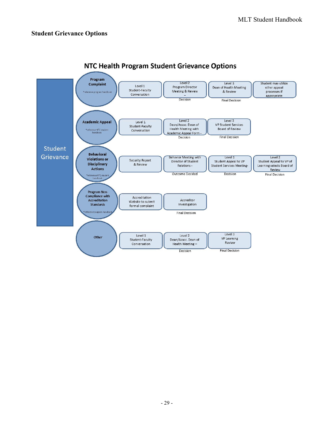# <span id="page-29-0"></span>**Student Grievance Options**



# NTC Health Program Student Grievance Options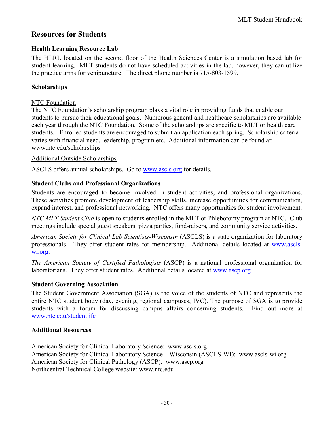# <span id="page-30-0"></span>**Resources for Students**

# <span id="page-30-1"></span>**Health Learning Resource Lab**

The HLRL located on the second floor of the Health Sciences Center is a simulation based lab for student learning. MLT students do not have scheduled activities in the lab, however, they can utilize the practice arms for venipuncture. The direct phone number is 715-803-1599.

# <span id="page-30-2"></span>**Scholarships**

# NTC Foundation

The NTC Foundation's scholarship program plays a vital role in providing funds that enable our students to pursue their educational goals. Numerous general and healthcare scholarships are available each year through the NTC Foundation. Some of the scholarships are specific to MLT or health care students. Enrolled students are encouraged to submit an application each spring. Scholarship criteria varies with financial need, leadership, program etc. Additional information can be found at: www.ntc.edu/scholarships

# Additional Outside Scholarships

ASCLS offers annual scholarships. Go to www.ascls.org for details.

# <span id="page-30-3"></span>**Student Clubs and Professional Organizations**

Students are encouraged to become involved in student activities, and professional organizations. These activities promote development of leadership skills, increase opportunities for communication, expand interest, and professional networking. NTC offers many opportunities for student involvement.

*NTC MLT Student Club* is open to students enrolled in the MLT or Phlebotomy program at NTC. Club meetings include special guest speakers, pizza parties, fund-raisers, and community service activities.

*American Society for Clinical Lab Scientists-Wisconsin* (ASCLS) is a state organization for laboratory professionals. They offer student rates for membership. Additional details located at www.asclswi.org.

*The American Society of Certified Pathologists* (ASCP) is a national professional organization for laboratorians. They offer student rates. Additional details located at [www.ascp.org](http://www.ascp.org/)

#### <span id="page-30-4"></span>**Student Governing Association**

The Student Government Association (SGA) is the voice of the students of NTC and represents the entire NTC student body (day, evening, regional campuses, IVC). The purpose of SGA is to provide students with a forum for discussing campus affairs concerning students. Find out more at [www.ntc.edu/studentlife](http://www.ntc.edu/studentlife)

# <span id="page-30-5"></span>**Additional Resources**

American Society for Clinical Laboratory Science: www.ascls.org American Society for Clinical Laboratory Science – Wisconsin (ASCLS-WI): www.ascls-wi.org American Society for Clinical Pathology (ASCP): www.ascp.org Northcentral Technical College website: [www.ntc.edu](http://www.ntc.edu/)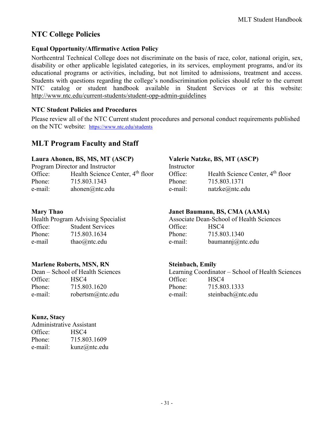# <span id="page-31-0"></span>**NTC College Policies**

# <span id="page-31-1"></span>**Equal Opportunity/Affirmative Action Policy**

Northcentral Technical College does not discriminate on the basis of race, color, national origin, sex, disability or other applicable legislated categories, in its services, employment programs, and/or its educational programs or activities, including, but not limited to admissions, treatment and access. Students with questions regarding the college's nondiscrimination policies should refer to the current NTC catalog or student handbook available in Student Services or at this website: <http://www.ntc.edu/current-students/student-opp-admin-guidelines>

# <span id="page-31-2"></span>**NTC Student Policies and Procedures**

Please review all of the NTC Current student procedures and personal conduct requirements published on the NTC website: <https://www.ntc.edu/students>

# <span id="page-31-3"></span>**MLT Program Faculty and Staff**

# **Laura Ahonen, BS, MS, MT (ASCP) Valerie Natzke, BS, MT (ASCP)**

Program Director and Instructor Office: Health Science Center, 4<sup>th</sup> floor Phone: 715.803.1343 e-mail: ahonen@ntc.edu

|         | Health Program Advising Specialist |         | Associate Dean-School of Health !            |
|---------|------------------------------------|---------|----------------------------------------------|
| Office: | <b>Student Services</b>            | Office: | HSC4                                         |
| Phone:  | 715.803.1634                       | Phone:  | 715.803.1340                                 |
| e-mail  | thao $@$ ntc.edu                   | e-mail: | baumann $\overline{\mathfrak{g}}(a)$ ntc.edu |

# **Marlene Roberts, MSN, RN Steinbach, Emily**

Office: HSC4 Office: HSC4 Phone: 715.803.1620 Phone: 715.803.1333

# **Kunz, Stacy**

| <b>Administrative Assistant</b> |              |
|---------------------------------|--------------|
| Office:                         | HSC4         |
| Phone:                          | 715.803.1609 |
| e-mail:                         | kunz@ntc.edu |

| Instructor |                                              |
|------------|----------------------------------------------|
| Office:    | Health Science Center, 4 <sup>th</sup> floor |
| Phone:     | 715.803.1371                                 |
| e-mail:    | natzke@ntc.edu                               |
|            |                                              |

# **Mary Thao Janet Baumann, BS, CMA (AAMA)**

|         | Health Program Advising Specialist |         | Associate Dean-School of Health Sciences |
|---------|------------------------------------|---------|------------------------------------------|
| Office: | <b>Student Services</b>            | Office: | HSC4                                     |
| Phone:  | 715.803.1634                       | Phone:  | 715.803.1340                             |
| e-mail  | thao $@$ ntc.edu                   | e-mail: | baumann $\overline{a}$ ntc.edu           |

Dean – School of Health Sciences Learning Coordinator – School of Health Sciences e-mail: robertsm@ntc.edu e-mail: steinbach@ntc.edu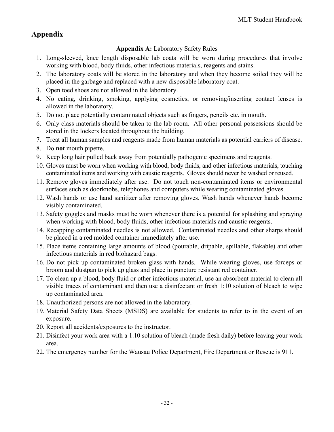# <span id="page-32-1"></span><span id="page-32-0"></span>**Appendix**

# **Appendix A:** Laboratory Safety Rules

- 1. Long-sleeved, knee length disposable lab coats will be worn during procedures that involve working with blood, body fluids, other infectious materials, reagents and stains.
- 2. The laboratory coats will be stored in the laboratory and when they become soiled they will be placed in the garbage and replaced with a new disposable laboratory coat.
- 3. Open toed shoes are not allowed in the laboratory.
- 4. No eating, drinking, smoking, applying cosmetics, or removing/inserting contact lenses is allowed in the laboratory.
- 5. Do not place potentially contaminated objects such as fingers, pencils etc. in mouth.
- 6. Only class materials should be taken to the lab room. All other personal possessions should be stored in the lockers located throughout the building.
- 7. Treat all human samples and reagents made from human materials as potential carriers of disease.
- 8. Do **not** mouth pipette.
- 9. Keep long hair pulled back away from potentially pathogenic specimens and reagents.
- 10. Gloves must be worn when working with blood, body fluids, and other infectious materials, touching contaminated items and working with caustic reagents. Gloves should never be washed or reused.
- 11. Remove gloves immediately after use. Do not touch non-contaminated items or environmental surfaces such as doorknobs, telephones and computers while wearing contaminated gloves.
- 12. Wash hands or use hand sanitizer after removing gloves. Wash hands whenever hands become visibly contaminated.
- 13. Safety goggles and masks must be worn whenever there is a potential for splashing and spraying when working with blood, body fluids, other infectious materials and caustic reagents.
- 14. Recapping contaminated needles is not allowed. Contaminated needles and other sharps should be placed in a red molded container immediately after use.
- 15. Place items containing large amounts of blood (pourable, dripable, spillable, flakable) and other infectious materials in red biohazard bags.
- 16. Do not pick up contaminated broken glass with hands. While wearing gloves, use forceps or broom and dustpan to pick up glass and place in puncture resistant red container.
- 17. To clean up a blood, body fluid or other infectious material, use an absorbent material to clean all visible traces of contaminant and then use a disinfectant or fresh 1:10 solution of bleach to wipe up contaminated area.
- 18. Unauthorized persons are not allowed in the laboratory.
- 19. Material Safety Data Sheets (MSDS) are available for students to refer to in the event of an exposure.
- 20. Report all accidents/exposures to the instructor.
- 21. Disinfect your work area with a 1:10 solution of bleach (made fresh daily) before leaving your work area.
- 22. The emergency number for the Wausau Police Department, Fire Department or Rescue is 911.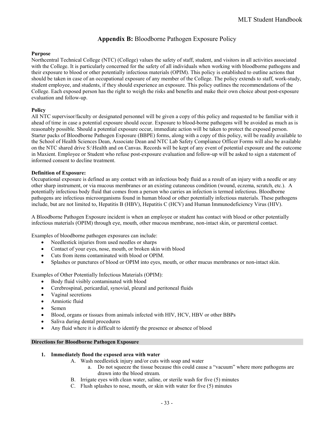# **Appendix B:** Bloodborne Pathogen Exposure Policy

#### <span id="page-33-0"></span>**Purpose**

Northcentral Technical College (NTC) (College) values the safety of staff, student, and visitors in all activities associated with the College. It is particularly concerned for the safety of all individuals when working with bloodborne pathogens and their exposure to blood or other potentially infectious materials (OPIM). This policy is established to outline actions that should be taken in case of an occupational exposure of any member of the College. The policy extends to staff, work-study, student employee, and students, if they should experience an exposure. This policy outlines the recommendations of the College. Each exposed person has the right to weigh the risks and benefits and make their own choice about post-exposure evaluation and follow-up.

#### **Policy**

All NTC supervisor/faculty or designated personnel will be given a copy of this policy and requested to be familiar with it ahead of time in case a potential exposure should occur. Exposure to blood-borne pathogens will be avoided as much as is reasonably possible. Should a potential exposure occur, immediate action will be taken to protect the exposed person. Starter packs of Bloodborne Pathogen Exposure (BBPE) forms, along with a copy of this policy, will be readily available to the School of Health Sciences Dean, Associate Dean and NTC Lab Safety Compliance Officer Forms will also be available on the NTC shared drive S:\Health and on Canvas. Records will be kept of any event of potential exposure and the outcome in Maxient. Employee or Student who refuse post-exposure evaluation and follow-up will be asked to sign a statement of informed consent to decline treatment.

#### **Definition of Exposure:**

Occupational exposure is defined as any contact with an infectious body fluid as a result of an injury with a needle or any other sharp instrument, or via mucous membranes or an existing cutaneous condition (wound, eczema, scratch, etc.). A potentially infectious body fluid that comes from a person who carries an infection is termed infectious. Bloodborne pathogens are infectious microorganisms found in human blood or other potentially infectious materials. These pathogens include, but are not limited to, Hepatitis B (HBV), Hepatitis C (HCV) and Human Immunodeficiency Virus (HIV).

A Bloodborne Pathogen Exposure incident is when an employee or student has contact with blood or other potentially infectious materials (OPIM) through eye, mouth, other mucous membrane, non-intact skin, or parenteral contact.

Examples of bloodborne pathogen exposures can include:

- Needlestick injuries from used needles or sharps
- Contact of your eyes, nose, mouth, or broken skin with blood
- Cuts from items contaminated with blood or OPIM.
- Splashes or punctures of blood or OPIM into eyes, mouth, or other mucus membranes or non-intact skin.

Examples of Other Potentially Infectious Materials (OPIM):

- Body fluid visibly contaminated with blood
- Cerebrospinal, pericardial, synovial, pleural and peritoneal fluids
- Vaginal secretions
- Amniotic fluid
- Semen
- Blood, organs or tissues from animals infected with HIV, HCV, HBV or other BBPs
- Saliva during dental procedures
- Any fluid where it is difficult to identify the presence or absence of blood

#### **Directions for Bloodborne Pathogen Exposure**

#### **1. Immediately flood the exposed area with water**

- A. Wash needlestick injury and/or cuts with soap and water
	- a. Do not squeeze the tissue because this could cause a "vacuum" where more pathogens are drawn into the blood stream.
- B. Irrigate eyes with clean water, saline, or sterile wash for five (5) minutes
- C. Flush splashes to nose, mouth, or skin with water for five (5) minutes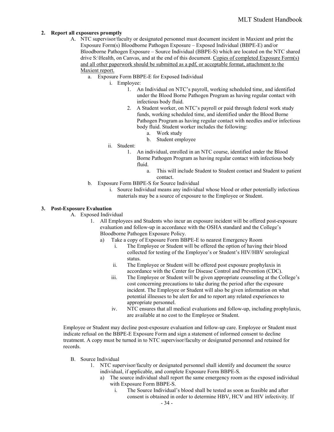#### **2. Report all exposures promptly**

- A. NTC supervisor/faculty or designated personnel must document incident in Maxient and print the Exposure Form(s) Bloodborne Pathogen Exposure – Exposed Individual (BBPE-E) and/or Bloodborne Pathogen Exposure – Source Individual (BBPE-S) which are located on the NTC shared drive S:\Health, on Canvas, and at the end of this document. Copies of completed Exposure Form(s) and all other paperwork should be submitted as a pdf, or acceptable format, attachment to the Maxient report.
	- a. Exposure Form BBPE-E for Exposed Individual
		- i. Employee:
			- 1. An Individual on NTC's payroll, working scheduled time, and identified under the Blood Borne Pathogen Program as having regular contact with infectious body fluid.
			- 2. A Student worker, on NTC's payroll or paid through federal work study funds, working scheduled time, and identified under the Blood Borne Pathogen Program as having regular contact with needles and/or infectious body fluid. Student worker includes the following:
				- a. Work study
				- b. Student employee
		- ii. Student:
			- 1. An individual, enrolled in an NTC course, identified under the Blood Borne Pathogen Program as having regular contact with infectious body fluid.
				- a. This will include Student to Student contact and Student to patient contact.
	- b. Exposure Form BBPE-S for Source Individual
		- i. Source Individual means any individual whose blood or other potentially infectious materials may be a source of exposure to the Employee or Student.

#### **3. Post-Exposure Evaluation**

- A. Exposed Individual
	- 1. All Employees and Students who incur an exposure incident will be offered post-exposure evaluation and follow-up in accordance with the OSHA standard and the College's Bloodborne Pathogen Exposure Policy.
		- a) Take a copy of Exposure Form BBPE-E to nearest Emergency Room
			- i. The Employee or Student will be offered the option of having their blood collected for testing of the Employee's or Student's HIV/HBV serological status.
			- ii. The Employee or Student will be offered post exposure prophylaxis in accordance with the Center for Disease Control and Prevention (CDC).
			- iii. The Employee or Student will be given appropriate counseling at the College's cost concerning precautions to take during the period after the exposure incident. The Employee or Student will also be given information on what potential illnesses to be alert for and to report any related experiences to appropriate personnel.
			- iv. NTC ensures that all medical evaluations and follow-up, including prophylaxis, are available at no cost to the Employee or Student.

Employee or Student may decline post-exposure evaluation and follow-up care. Employee or Student must indicate refusal on the BBPE-E Exposure Form and sign a statement of informed consent to decline treatment. A copy must be turned in to NTC supervisor/faculty or designated personnel and retained for records.

- B. Source Individual
	- 1. NTC supervisor/faculty or designated personnel shall identify and document the source individual, if applicable, and complete Exposure Form BBPE-S.
		- a) The source individual shall report the same emergency room as the exposed individual with Exposure Form BBPE-S.
			- i. The Source Individual's blood shall be tested as soon as feasible and after consent is obtained in order to determine HBV, HCV and HIV infectivity. If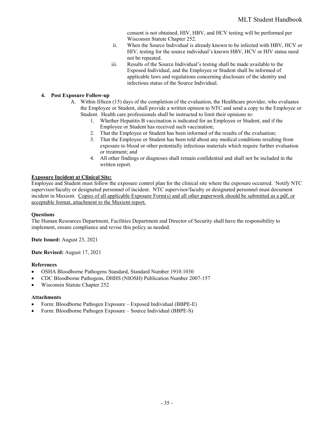consent is not obtained, HIV, HBV, and HCV testing will be performed per Wisconsin Statute Chapter 252.

- ii. When the Source Individual is already known to be infected with HBV, HCV or HIV, testing for the source individual's known HBV, HCV or HIV status need not be repeated.
- iii. Results of the Source Individual's testing shall be made available to the Exposed Individual, and the Employee or Student shall be informed of applicable laws and regulations concerning disclosure of the identity and infectious status of the Source Individual.

#### **4. Post Exposure Follow-up**

- A. Within fifteen (15) days of the completion of the evaluation, the Healthcare provider, who evaluates the Employee or Student, shall provide a written opinion to NTC and send a copy to the Employee or Student. Health care professionals shall be instructed to limit their opinions to:
	- 1. Whether Hepatitis B vaccination is indicated for an Employee or Student, and if the Employee or Student has received such vaccination;
	- 2. That the Employee or Student has been informed of the results of the evaluation;
	- 3. That the Employee or Student has been told about any medical conditions resulting from exposure to blood or other potentially infectious materials which require further evaluation or treatment; and
	- 4. All other findings or diagnoses shall remain confidential and shall not be included in the written report.

#### **Exposure Incident at Clinical Site:**

Employee and Student must follow the exposure control plan for the clinical site where the exposure occurred. Notify NTC supervisor/faculty or designated personnel of incident. NTC supervisor/faculty or designated personnel must document incident in Maxient. Copies of all applicable Exposure Form(s) and all other paperwork should be submitted as a pdf, or acceptable format, attachment to the Maxient report.

#### **Questions**

The Human Resources Department, Facilities Department and Director of Security shall have the responsibility to implement, ensure compliance and revise this policy as needed.

**Date Issued:** August 23, 2021

**Date Revised:** August 17, 2021

#### **References**

- OSHA Bloodborne Pathogens Standard, Standard Number 1910.1030
- CDC Bloodborne Pathogens, DHHS (NIOSH) Publication Number 2007-157
- Wisconsin Statute Chapter 252

#### **Attachments**

- Form: Bloodborne Pathogen Exposure Exposed Individual (BBPE-E)
- Form: Bloodborne Pathogen Exposure Source Individual (BBPE-S)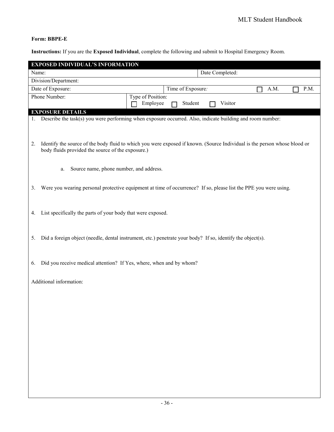# **Form: BBPE-E**

**Instructions:** If you are the **Exposed Individual**, complete the following and submit to Hospital Emergency Room.

|                                                                           | <b>EXPOSED INDIVIDUAL'S INFORMATION</b>                                                                                   |                   |                   |  |         |      |  |      |
|---------------------------------------------------------------------------|---------------------------------------------------------------------------------------------------------------------------|-------------------|-------------------|--|---------|------|--|------|
|                                                                           | Date Completed:<br>Name:                                                                                                  |                   |                   |  |         |      |  |      |
|                                                                           | Division/Department:                                                                                                      |                   |                   |  |         |      |  |      |
|                                                                           | Date of Exposure:                                                                                                         |                   | Time of Exposure: |  |         | A.M. |  | P.M. |
|                                                                           | Phone Number:                                                                                                             | Type of Position: |                   |  |         |      |  |      |
|                                                                           |                                                                                                                           | Employee          | Student           |  | Visitor |      |  |      |
|                                                                           | <b>EXPOSURE DETAILS</b>                                                                                                   |                   |                   |  |         |      |  |      |
| 1.                                                                        | Describe the task(s) you were performing when exposure occurred. Also, indicate building and room number:                 |                   |                   |  |         |      |  |      |
|                                                                           |                                                                                                                           |                   |                   |  |         |      |  |      |
|                                                                           |                                                                                                                           |                   |                   |  |         |      |  |      |
| 2.                                                                        | Identify the source of the body fluid to which you were exposed if known. (Source Individual is the person whose blood or |                   |                   |  |         |      |  |      |
|                                                                           | body fluids provided the source of the exposure.)                                                                         |                   |                   |  |         |      |  |      |
|                                                                           |                                                                                                                           |                   |                   |  |         |      |  |      |
|                                                                           | Source name, phone number, and address.<br>a.                                                                             |                   |                   |  |         |      |  |      |
|                                                                           |                                                                                                                           |                   |                   |  |         |      |  |      |
| 3.                                                                        | Were you wearing personal protective equipment at time of occurrence? If so, please list the PPE you were using.          |                   |                   |  |         |      |  |      |
|                                                                           |                                                                                                                           |                   |                   |  |         |      |  |      |
|                                                                           |                                                                                                                           |                   |                   |  |         |      |  |      |
| 4.                                                                        | List specifically the parts of your body that were exposed.                                                               |                   |                   |  |         |      |  |      |
|                                                                           |                                                                                                                           |                   |                   |  |         |      |  |      |
|                                                                           |                                                                                                                           |                   |                   |  |         |      |  |      |
| 5.                                                                        | Did a foreign object (needle, dental instrument, etc.) penetrate your body? If so, identify the object(s).                |                   |                   |  |         |      |  |      |
|                                                                           |                                                                                                                           |                   |                   |  |         |      |  |      |
|                                                                           |                                                                                                                           |                   |                   |  |         |      |  |      |
|                                                                           |                                                                                                                           |                   |                   |  |         |      |  |      |
| Did you receive medical attention? If Yes, where, when and by whom?<br>6. |                                                                                                                           |                   |                   |  |         |      |  |      |
|                                                                           |                                                                                                                           |                   |                   |  |         |      |  |      |
|                                                                           | Additional information:                                                                                                   |                   |                   |  |         |      |  |      |
|                                                                           |                                                                                                                           |                   |                   |  |         |      |  |      |
|                                                                           |                                                                                                                           |                   |                   |  |         |      |  |      |
|                                                                           |                                                                                                                           |                   |                   |  |         |      |  |      |
|                                                                           |                                                                                                                           |                   |                   |  |         |      |  |      |
|                                                                           |                                                                                                                           |                   |                   |  |         |      |  |      |
|                                                                           |                                                                                                                           |                   |                   |  |         |      |  |      |
|                                                                           |                                                                                                                           |                   |                   |  |         |      |  |      |
|                                                                           |                                                                                                                           |                   |                   |  |         |      |  |      |
|                                                                           |                                                                                                                           |                   |                   |  |         |      |  |      |
|                                                                           |                                                                                                                           |                   |                   |  |         |      |  |      |
|                                                                           |                                                                                                                           |                   |                   |  |         |      |  |      |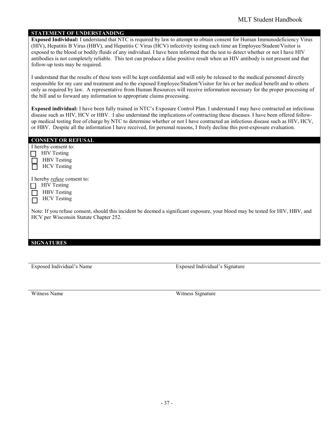#### **STATEMENT OF UNDERSTANDING**

**Exposed Individual:** I understand that NTC is required by law to attempt to obtain consent for Human Immunodeficiency Virus (HIV), Hepatitis B Virus (HBV), and Hepatitis C Virus (HCV) infectivity testing each time an Employee/Student/Visitor is exposed to the blood or bodily fluids of any individual. I have been informed that the test to detect whether or not I have HIV antibodies is not completely reliable. This test can produce a false positive result when an HIV antibody is not present and that follow-up tests may be required.

I understand that the results of these tests will be kept confidential and will only be released to the medical personnel directly responsible for my care and treatment and to the exposed Employee/Student/Visitor for his or her medical benefit and to others only as required by law. A representative from Human Resources will receive information necessary for the proper processing of the bill and to forward any information to appropriate claims processing.

**Exposed individual:** I have been fully trained in NTC's Exposure Control Plan. I understand I may have contracted an infectious disease such as HIV, HCV or HBV. I also understand the implications of contracting these diseases. I have been offered followup medical testing free of charge by NTC to determine whether or not I have contracted an infectious disease such as HIV, HCV, or HBV. Despite all the information I have received, for personal reasons, I freely decline this post-exposure evaluation.

| <b>CONSENT OR REFUSAL</b>                                                                                                      |
|--------------------------------------------------------------------------------------------------------------------------------|
| I hereby consent to:                                                                                                           |
| <b>HIV</b> Testing                                                                                                             |
| <b>HBV</b> Testing                                                                                                             |
| <b>HCV</b> Testing                                                                                                             |
| I hereby <i>refuse</i> consent to:                                                                                             |
| <b>HIV</b> Testing                                                                                                             |
| <b>HBV</b> Testing                                                                                                             |
| <b>HCV</b> Testing                                                                                                             |
|                                                                                                                                |
| Note: If you refuse consent, should this incident be deemed a significant exposure, your blood may be tested for HIV, HBV, and |
| HCV per Wisconsin Statute Chapter 252.                                                                                         |
|                                                                                                                                |
|                                                                                                                                |
|                                                                                                                                |
| <b>SIGNATURES</b>                                                                                                              |

Exposed Individual's Name Exposed Individual's Signature

Witness Name Witness Signature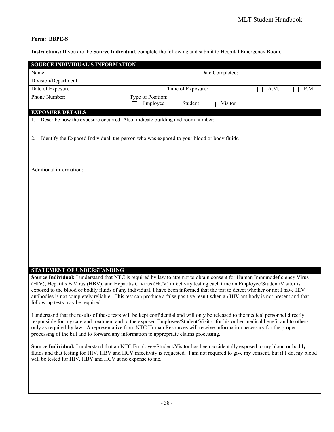# **Form: BBPE-S**

**Instructions:** If you are the **Source Individual**, complete the following and submit to Hospital Emergency Room.

| SOURCE INDIVIDUAL'S INFORMATION<br>Date Completed:<br>Name:                             |                                                                                                                                                                                                                                                                                                                                                                                                                                                                                                                               |      |  |
|-----------------------------------------------------------------------------------------|-------------------------------------------------------------------------------------------------------------------------------------------------------------------------------------------------------------------------------------------------------------------------------------------------------------------------------------------------------------------------------------------------------------------------------------------------------------------------------------------------------------------------------|------|--|
| Division/Department:                                                                    |                                                                                                                                                                                                                                                                                                                                                                                                                                                                                                                               |      |  |
| Date of Exposure:                                                                       | P.M.                                                                                                                                                                                                                                                                                                                                                                                                                                                                                                                          |      |  |
| Phone Number:                                                                           | Time of Exposure:<br>Type of Position:                                                                                                                                                                                                                                                                                                                                                                                                                                                                                        | A.M. |  |
|                                                                                         | Employee<br>Visitor<br>Student                                                                                                                                                                                                                                                                                                                                                                                                                                                                                                |      |  |
| <b>EXPOSURE DETAILS</b>                                                                 |                                                                                                                                                                                                                                                                                                                                                                                                                                                                                                                               |      |  |
| Describe how the exposure occurred. Also, indicate building and room number:            |                                                                                                                                                                                                                                                                                                                                                                                                                                                                                                                               |      |  |
| 2.                                                                                      | Identify the Exposed Individual, the person who was exposed to your blood or body fluids.                                                                                                                                                                                                                                                                                                                                                                                                                                     |      |  |
| Additional information:                                                                 |                                                                                                                                                                                                                                                                                                                                                                                                                                                                                                                               |      |  |
|                                                                                         |                                                                                                                                                                                                                                                                                                                                                                                                                                                                                                                               |      |  |
|                                                                                         |                                                                                                                                                                                                                                                                                                                                                                                                                                                                                                                               |      |  |
|                                                                                         |                                                                                                                                                                                                                                                                                                                                                                                                                                                                                                                               |      |  |
|                                                                                         |                                                                                                                                                                                                                                                                                                                                                                                                                                                                                                                               |      |  |
|                                                                                         |                                                                                                                                                                                                                                                                                                                                                                                                                                                                                                                               |      |  |
|                                                                                         |                                                                                                                                                                                                                                                                                                                                                                                                                                                                                                                               |      |  |
|                                                                                         |                                                                                                                                                                                                                                                                                                                                                                                                                                                                                                                               |      |  |
|                                                                                         |                                                                                                                                                                                                                                                                                                                                                                                                                                                                                                                               |      |  |
|                                                                                         |                                                                                                                                                                                                                                                                                                                                                                                                                                                                                                                               |      |  |
|                                                                                         |                                                                                                                                                                                                                                                                                                                                                                                                                                                                                                                               |      |  |
| STATEMENT OF UNDERSTANDING<br>follow-up tests may be required.                          | Source Individual: I understand that NTC is required by law to attempt to obtain consent for Human Immunodeficiency Virus<br>(HIV), Hepatitis B Virus (HBV), and Hepatitis C Virus (HCV) infectivity testing each time an Employee/Student/Visitor is<br>exposed to the blood or bodily fluids of any individual. I have been informed that the test to detect whether or not I have HIV<br>antibodies is not completely reliable. This test can produce a false positive result when an HIV antibody is not present and that |      |  |
| processing of the bill and to forward any information to appropriate claims processing. | I understand that the results of these tests will be kept confidential and will only be released to the medical personnel directly<br>responsible for my care and treatment and to the exposed Employee/Student/Visitor for his or her medical benefit and to others<br>only as required by law. A representative from NTC Human Resources will receive information necessary for the proper                                                                                                                                  |      |  |
| will be tested for HIV, HBV and HCV at no expense to me.                                | Source Individual: I understand that an NTC Employee/Student/Visitor has been accidentally exposed to my blood or bodily<br>fluids and that testing for HIV, HBV and HCV infectivity is requested. I am not required to give my consent, but if I do, my blood                                                                                                                                                                                                                                                                |      |  |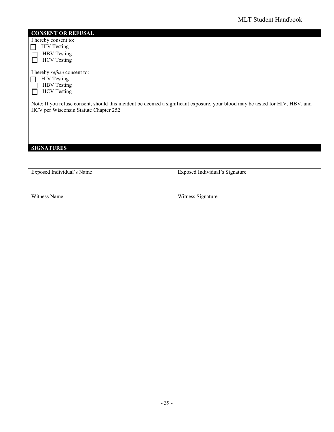#### **CONSENT OR REFUSAL**

I hereby consent to: **HIV Testing** 

┑

HBV Testing HCV Testing

| I hereby <i>refuse</i> consent to: |
|------------------------------------|
| <b>HIV</b> Testing                 |
| <b>HBV</b> Testing                 |
| <b>HCV</b> Testing                 |

Note: If you refuse consent, should this incident be deemed a significant exposure, your blood may be tested for HIV, HBV, and HCV per Wisconsin Statute Chapter 252.

**SIGNATURES**

Exposed Individual's Name Exposed Individual's Signature

Witness Name Witness Signature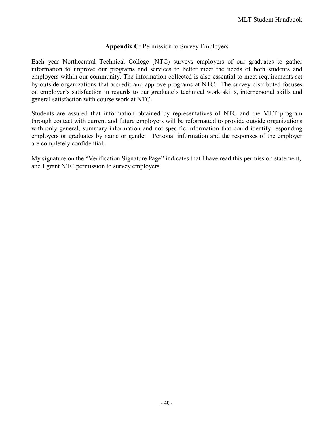# Appendix C: Permission to Survey Employers

<span id="page-40-0"></span>Each year Northcentral Technical College (NTC) surveys employers of our graduates to gather information to improve our programs and services to better meet the needs of both students and employers within our community. The information collected is also essential to meet requirements set by outside organizations that accredit and approve programs at NTC. The survey distributed focuses on employer's satisfaction in regards to our graduate's technical work skills, interpersonal skills and general satisfaction with course work at NTC.

Students are assured that information obtained by representatives of NTC and the MLT program through contact with current and future employers will be reformatted to provide outside organizations with only general, summary information and not specific information that could identify responding employers or graduates by name or gender. Personal information and the responses of the employer are completely confidential.

My signature on the "Verification Signature Page" indicates that I have read this permission statement, and I grant NTC permission to survey employers.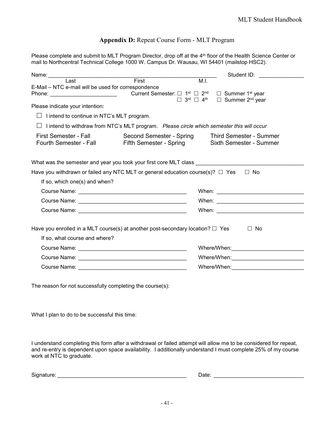#### **Appendix D:** Repeat Course Form - MLT Program

<span id="page-41-0"></span>Please complete and submit to MLT Program Director, drop off at the 4<sup>th</sup> floor of the Health Science Center or mail to Northcentral Technical College 1000 W. Campus Dr. Wausau, WI 54401 (mailstop HSC2).

| Name: 2008 2008 2010 2021 2022 2023 2024 2022 2023 2024 2022 2023 2024 2022 2023 2024 2022 2023 2024                                                                    |                    | Student ID: New York Student ID:                                                                              |  |
|-------------------------------------------------------------------------------------------------------------------------------------------------------------------------|--------------------|---------------------------------------------------------------------------------------------------------------|--|
| $\overline{\text{Last}}$                                                                                                                                                | $\overline{First}$ | M.I.                                                                                                          |  |
| E-Mail - NTC e-mail will be used for correspondence                                                                                                                     |                    | $\Box$ Summer 1 <sup>st</sup> year<br>□ Summer 2 <sup>nd</sup> year<br>$\Box$ 3rd $\Box$ 4 <sup>th</sup>      |  |
| Please indicate your intention:                                                                                                                                         |                    |                                                                                                               |  |
| I intend to continue in NTC's MLT program.<br>$\perp$                                                                                                                   |                    |                                                                                                               |  |
| $\perp$                                                                                                                                                                 |                    | I intend to withdraw from NTC's MLT program. Please circle which semester this will occur                     |  |
| Second Semester - Spring<br><b>First Semester - Fall</b><br><b>Third Semester - Summer</b><br>Fifth Semester - Spring Sixth Semester - Summer<br>Fourth Semester - Fall |                    |                                                                                                               |  |
| What was the semester and year you took your first core MLT class                                                                                                       |                    |                                                                                                               |  |
| Have you withdrawn or failed any NTC MLT or general education course(s)? $\Box$ Yes                                                                                     |                    | $\Box$ No                                                                                                     |  |
| If so, which one(s) and when?                                                                                                                                           |                    |                                                                                                               |  |
|                                                                                                                                                                         |                    |                                                                                                               |  |
|                                                                                                                                                                         |                    |                                                                                                               |  |
|                                                                                                                                                                         |                    |                                                                                                               |  |
| Have you enrolled in a MLT course(s) at another post-secondary location? $\Box$ Yes<br>If so, what course and where?                                                    |                    | $\Box$ No                                                                                                     |  |
|                                                                                                                                                                         |                    |                                                                                                               |  |
|                                                                                                                                                                         |                    | Where/When: 2008 2009 2010 2020 2021 2022 2023 2024 2022 2023 2024 2022 2023 2024 2022 2023 2024 2022 2023 20 |  |
|                                                                                                                                                                         |                    |                                                                                                               |  |

The reason for not successfully completing the course(s):

What I plan to do to be successful this time:

I understand completing this form after a withdrawal or failed attempt will allow me to be considered for repeat, and re-entry is dependent upon space availability. I additionally understand I must complete 25% of my course work at NTC to graduate.

| $\sim$<br>Signature: | <b>Contractor</b><br>Date |  |
|----------------------|---------------------------|--|
|----------------------|---------------------------|--|